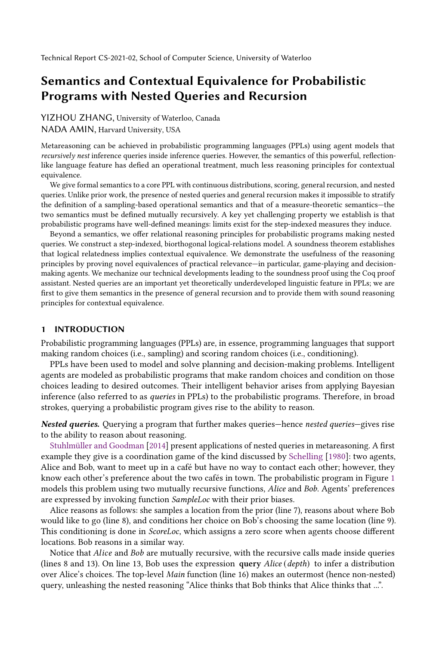YIZHOU ZHANG, University of Waterloo, Canada NADA AMIN, Harvard University, USA

Metareasoning can be achieved in probabilistic programming languages (PPLs) using agent models that recursively nest inference queries inside inference queries. However, the semantics of this powerful, reflectionlike language feature has defied an operational treatment, much less reasoning principles for contextual equivalence.

We give formal semantics to a core PPL with continuous distributions, scoring, general recursion, and nested queries. Unlike prior work, the presence of nested queries and general recursion makes it impossible to stratify the definition of a sampling-based operational semantics and that of a measure-theoretic semantics—the two semantics must be defined mutually recursively. A key yet challenging property we establish is that probabilistic programs have well-defined meanings: limits exist for the step-indexed measures they induce.

Beyond a semantics, we offer relational reasoning principles for probabilistic programs making nested queries. We construct a step-indexed, biorthogonal logical-relations model. A soundness theorem establishes that logical relatedness implies contextual equivalence. We demonstrate the usefulness of the reasoning principles by proving novel equivalences of practical relevance—in particular, game-playing and decisionmaking agents. We mechanize our technical developments leading to the soundness proof using the Coq proof assistant. Nested queries are an important yet theoretically underdeveloped linguistic feature in PPLs; we are first to give them semantics in the presence of general recursion and to provide them with sound reasoning principles for contextual equivalence.

#### <span id="page-0-0"></span>1 INTRODUCTION

Probabilistic programming languages (PPLs) are, in essence, programming languages that support making random choices (i.e., sampling) and scoring random choices (i.e., conditioning).

PPLs have been used to model and solve planning and decision-making problems. Intelligent agents are modeled as probabilistic programs that make random choices and condition on those choices leading to desired outcomes. Their intelligent behavior arises from applying Bayesian inference (also referred to as queries in PPLs) to the probabilistic programs. Therefore, in broad strokes, querying a probabilistic program gives rise to the ability to reason.

Nested queries. Querying a program that further makes queries—hence nested queries—gives rise to the ability to reason about reasoning.

[Stuhlmüller and Goodman](#page-28-0) [\[2014\]](#page-28-0) present applications of nested queries in metareasoning. A first example they give is a coordination game of the kind discussed by [Schelling](#page-28-1) [\[1980\]](#page-28-1): two agents, Alice and Bob, want to meet up in a café but have no way to contact each other; however, they know each other's preference about the two cafés in town. The probabilistic program in Figure [1](#page-1-0) models this problem using two mutually recursive functions, Alice and Bob. Agents' preferences are expressed by invoking function SampleLoc with their prior biases.

Alice reasons as follows: she samples a location from the prior (line 7), reasons about where Bob would like to go (line 8), and conditions her choice on Bob's choosing the same location (line 9). This conditioning is done in ScoreLoc, which assigns a zero score when agents choose different locations. Bob reasons in a similar way.

Notice that *Alice* and *Bob* are mutually recursive, with the recursive calls made inside queries (lines 8 and 13). On line 13, Bob uses the expression query  $Alice$  (depth) to infer a distribution over Alice's choices. The top-level Main function (line 16) makes an outermost (hence non-nested) query, unleashing the nested reasoning "Alice thinks that Bob thinks that Alice thinks that ...".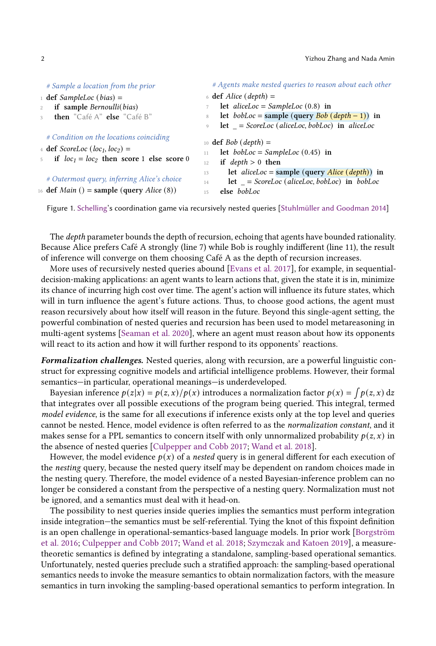<span id="page-1-0"></span>

| # Sample a location from the prior                                                      | # Agents make nested queries to reason about each other                     |  |  |  |  |
|-----------------------------------------------------------------------------------------|-----------------------------------------------------------------------------|--|--|--|--|
| $\pm$ def SampleLoc (bias) =                                                            | $\delta$ def Alice (depth) =<br>let aliceLoc = SampleLoc $(0.8)$ in         |  |  |  |  |
| if sample Bernoulli(bias)<br>$2^{1}$                                                    |                                                                             |  |  |  |  |
| then "Café A" else "Café B"<br>$\mathcal{L}$                                            | let <i>bobLoc</i> = sample (query <i>Bob</i> ( <i>depth</i> - 1)) in<br>8   |  |  |  |  |
|                                                                                         | $let$ = ScoreLoc (aliceLoc, bobLoc) in aliceLoc<br>9                        |  |  |  |  |
| # Condition on the locations coinciding                                                 | 10 <b>def</b> <i>Bob</i> ( <i>depth</i> ) =                                 |  |  |  |  |
| $\frac{4}{4}$ def <i>ScoreLoc</i> ( <i>loc<sub>1</sub></i> , <i>loc<sub>2</sub></i> ) = | let $bobLoc = SampleLoc(0.45)$ in<br>11                                     |  |  |  |  |
| if $loc_1 = loc_2$ then score 1 else score 0<br>5                                       | if $depth > 0$ then<br>12                                                   |  |  |  |  |
|                                                                                         | let <i>aliceLoc</i> = sample (query <i>Alice</i> ( <i>depth</i> )) in<br>13 |  |  |  |  |
| # Outermost query, inferring Alice's choice                                             | $let$ = ScoreLoc (aliceLoc, bobLoc) in bobLoc<br>14                         |  |  |  |  |
| 16 def <i>Main</i> () = sample (query <i>Alice</i> (8))                                 | else bobLoc<br>15                                                           |  |  |  |  |

Figure 1. [Schelling'](#page-28-1)s coordination game via recursively nested queries [\[Stuhlmüller and Goodman](#page-28-0) [2014\]](#page-28-0)

The *depth* parameter bounds the depth of recursion, echoing that agents have bounded rationality. Because Alice prefers Café A strongly (line 7) while Bob is roughly indifferent (line 11), the result of inference will converge on them choosing Café A as the depth of recursion increases.

More uses of recursively nested queries abound [\[Evans et al.](#page-27-0) [2017\]](#page-27-0), for example, in sequentialdecision-making applications: an agent wants to learn actions that, given the state it is in, minimize its chance of incurring high cost over time. The agent's action will influence its future states, which will in turn influence the agent's future actions. Thus, to choose good actions, the agent must reason recursively about how itself will reason in the future. Beyond this single-agent setting, the powerful combination of nested queries and recursion has been used to model metareasoning in multi-agent systems [\[Seaman et al.](#page-28-2) [2020\]](#page-28-2), where an agent must reason about how its opponents will react to its action and how it will further respond to its opponents' reactions.

Formalization challenges. Nested queries, along with recursion, are a powerful linguistic construct for expressing cognitive models and artificial intelligence problems. However, their formal semantics—in particular, operational meanings—is underdeveloped.

Bayesian inference  $p(z|x) = p(z, x)/p(x)$  introduces a normalization factor  $p(x) = \int p(z, x) dz$ that integrates over all possible executions of the program being queried. This integral, termed model evidence, is the same for all executions if inference exists only at the top level and queries cannot be nested. Hence, model evidence is often referred to as the normalization constant, and it makes sense for a PPL semantics to concern itself with only unnormalized probability  $p(z, x)$  in the absence of nested queries [\[Culpepper and Cobb](#page-27-1) [2017;](#page-27-1) [Wand et al.](#page-28-3) [2018\]](#page-28-3).

However, the model evidence  $p(x)$  of a nested query is in general different for each execution of the nesting query, because the nested query itself may be dependent on random choices made in the nesting query. Therefore, the model evidence of a nested Bayesian-inference problem can no longer be considered a constant from the perspective of a nesting query. Normalization must not be ignored, and a semantics must deal with it head-on.

The possibility to nest queries inside queries implies the semantics must perform integration inside integration—the semantics must be self-referential. Tying the knot of this fixpoint definition is an open challenge in operational-semantics-based language models. In prior work [\[Borgström](#page-27-2) [et al.](#page-27-2) [2016;](#page-27-2) [Culpepper and Cobb](#page-27-1) [2017;](#page-27-1) [Wand et al.](#page-28-3) [2018;](#page-28-3) [Szymczak and Katoen](#page-28-4) [2019\]](#page-28-4), a measuretheoretic semantics is defined by integrating a standalone, sampling-based operational semantics. Unfortunately, nested queries preclude such a stratified approach: the sampling-based operational semantics needs to invoke the measure semantics to obtain normalization factors, with the measure semantics in turn invoking the sampling-based operational semantics to perform integration. In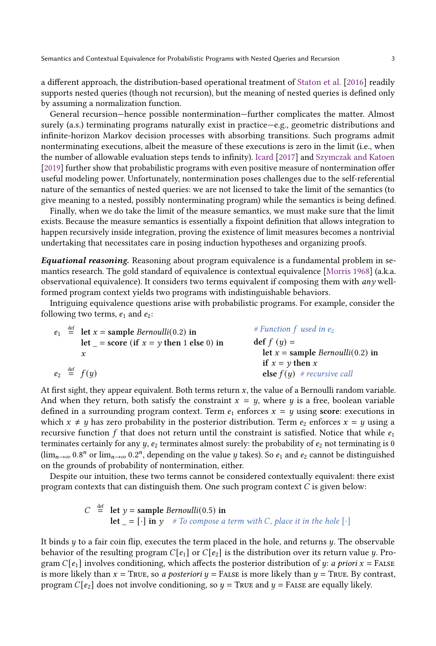a different approach, the distribution-based operational treatment of [Staton et al.](#page-28-5) [\[2016\]](#page-28-5) readily supports nested queries (though not recursion), but the meaning of nested queries is defined only by assuming a normalization function.

General recursion—hence possible nontermination—further complicates the matter. Almost surely (a.s.) terminating programs naturally exist in practice—e.g., geometric distributions and infinite-horizon Markov decision processes with absorbing transitions. Such programs admit nonterminating executions, albeit the measure of these executions is zero in the limit (i.e., when the number of allowable evaluation steps tends to infinity). [Icard](#page-27-3) [\[2017\]](#page-27-3) and [Szymczak and Katoen](#page-28-4) [\[2019\]](#page-28-4) further show that probabilistic programs with even positive measure of nontermination offer useful modeling power. Unfortunately, nontermination poses challenges due to the self-referential nature of the semantics of nested queries: we are not licensed to take the limit of the semantics (to give meaning to a nested, possibly nonterminating program) while the semantics is being defined.

Finally, when we do take the limit of the measure semantics, we must make sure that the limit exists. Because the measure semantics is essentially a fixpoint definition that allows integration to happen recursively inside integration, proving the existence of limit measures becomes a nontrivial undertaking that necessitates care in posing induction hypotheses and organizing proofs.

**Equational reasoning.** Reasoning about program equivalence is a fundamental problem in semantics research. The gold standard of equivalence is contextual equivalence [\[Morris](#page-28-6) [1968\]](#page-28-6) (a.k.a. observational equivalence). It considers two terms equivalent if composing them with  $any$  wellformed program context yields two programs with indistinguishable behaviors.

Intriguing equivalence questions arise with probabilistic programs. For example, consider the following two terms,  $e_1$  and  $e_2$ :

|  | $e_1 \stackrel{\text{def}}{=}$ let $x =$ sample <i>Bernoulli</i> (0.2) in | # Function $f$ used in $e_2$        |
|--|---------------------------------------------------------------------------|-------------------------------------|
|  | let $=$ score (if $x = y$ then 1 else 0) in                               | $def f (y) =$                       |
|  |                                                                           | let $x =$ sample Bernoulli(0.2) in  |
|  |                                                                           | if $x = y$ then x                   |
|  | $e_2 \stackrel{\text{def}}{=} f(y)$                                       | <b>else</b> $f(y)$ # recursive call |

At first sight, they appear equivalent. Both terms return  $x$ , the value of a Bernoulli random variable. And when they return, both satisfy the constraint  $x = y$ , where y is a free, boolean variable defined in a surrounding program context. Term  $e_1$  enforces  $x = y$  using score: executions in which  $x \neq y$  has zero probability in the posterior distribution. Term  $e_2$  enforces  $x = y$  using a recursive function  $f$  that does not return until the constraint is satisfied. Notice that while  $e_1$ terminates certainly for any  $y$ ,  $e_2$  terminates almost surely: the probability of  $e_2$  not terminating is 0  $(\lim_{n\to\infty} 0.8^n$  or  $\lim_{n\to\infty} 0.2^n$ , depending on the value y takes). So  $e_1$  and  $e_2$  cannot be distinguished on the grounds of probability of nontermination, either.

Despite our intuition, these two terms cannot be considered contextually equivalent: there exist program contexts that can distinguish them. One such program context  $C$  is given below:

> $C \stackrel{\text{def}}{=} \text{let } y = \text{sample } Bernoulli(0.5) \text{ in}$ **let**  $= [\cdot]$  in y # To compose a term with C, place it in the hole  $[\cdot]$

It binds  $y$  to a fair coin flip, executes the term placed in the hole, and returns  $y$ . The observable behavior of the resulting program  $C[e_1]$  or  $C[e_2]$  is the distribution over its return value  $\psi$ . Program  $C[e_1]$  involves conditioning, which affects the posterior distribution of y: a priori  $x =$  FALSE is more likely than  $x = \text{True}$ , so a posteriori  $y = \text{False}$  is more likely than  $y = \text{True}$ . By contrast, program  $C[e_2]$  does not involve conditioning, so  $y = \text{True}$  and  $y = \text{False}$  are equally likely.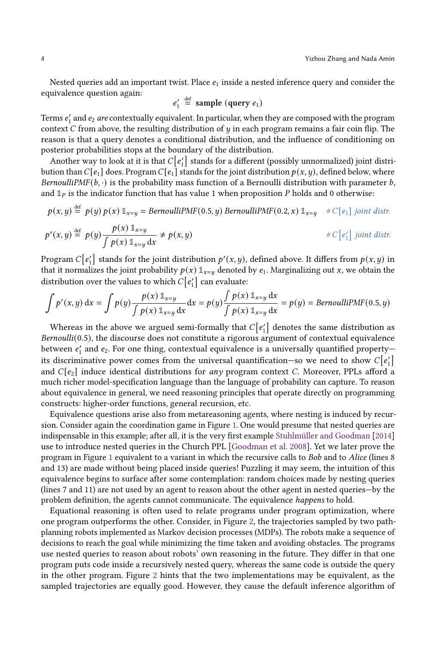Nested queries add an important twist. Place  $e_1$  inside a nested inference query and consider the equivalence question again:

$$
e'_1 \stackrel{\text{def}}{=} \text{sample (query } e_1)
$$

Terms  $e'_1$  and  $e_2$  are contextually equivalent. In particular, when they are composed with the program context  $C$  from above, the resulting distribution of  $y$  in each program remains a fair coin flip. The reason is that a query denotes a conditional distribution, and the influence of conditioning on posterior probabilities stops at the boundary of the distribution.

Another way to look at it is that  $C[e'_1]$  stands for a different (possibly unnormalized) joint distribution than  $C[e_1]$  does. Program  $C[e_1]$  stands for the joint distribution  $p(x, y)$ , defined below, where BernoulliPMF(b,  $\cdot$ ) is the probability mass function of a Bernoulli distribution with parameter b, and  $\mathbb{1}_P$  is the indicator function that has value 1 when proposition P holds and 0 otherwise:

$$
p(x, y) \stackrel{\text{def}}{=} p(y) p(x) 1_{x=y} = BernoulliPMF(0.5, y) BernoulliPMF(0.2, x) 1_{x=y} \quad \# C[e_1] \text{ joint distr.}
$$
  

$$
p'(x, y) \stackrel{\text{def}}{=} p(y) \frac{p(x) 1_{x=y}}{\int p(x) 1_{x=y} dx} \neq p(x, y) \quad \# C[e'_1] \text{ joint distr.}
$$

Program  $C[e'_1]$  stands for the joint distribution  $p'(x, y)$ , defined above. It differs from  $p(x, y)$  in that it normalizes the joint probability  $p(x) 1_{x=y}$  denoted by  $e_1$ . Marginalizing out x, we obtain the distribution over the values to which  $C[e'_1]$  can evaluate:

$$
\int p'(x, y) dx = \int p(y) \frac{p(x) \mathbb{1}_{x=y}}{\int p(x) \mathbb{1}_{x=y} dx} dx = p(y) \frac{\int p(x) \mathbb{1}_{x=y} dx}{\int p(x) \mathbb{1}_{x=y} dx} = p(y) = BernoulliPMF(0.5, y)
$$

Whereas in the above we argued semi-formally that  $C[e'_1]$  denotes the same distribution as Bernoulli(0.5), the discourse does not constitute a rigorous argument of contextual equivalence between  $e'_1$  and  $e_2$ . For one thing, contextual equivalence is a universally quantified propertyits discriminative power comes from the universal quantification–so we need to show  $C[e'_1]$ and  $C[e_2]$  induce identical distributions for any program context C. Moreover, PPLs afford a much richer model-specification language than the language of probability can capture. To reason about equivalence in general, we need reasoning principles that operate directly on programming constructs: higher-order functions, general recursion, etc.

Equivalence questions arise also from metareasoning agents, where nesting is induced by recursion. Consider again the coordination game in Figure [1.](#page-1-0) One would presume that nested queries are indispensable in this example; after all, it is the very first example [Stuhlmüller and Goodman](#page-28-0) [\[2014\]](#page-28-0) use to introduce nested queries in the Church PPL [\[Goodman et al.](#page-27-4) [2008\]](#page-27-4). Yet we later prove the program in Figure [1](#page-1-0) equivalent to a variant in which the recursive calls to Bob and to Alice (lines 8 and 13) are made without being placed inside queries! Puzzling it may seem, the intuition of this equivalence begins to surface after some contemplation: random choices made by nesting queries (lines 7 and 11) are not used by an agent to reason about the other agent in nested queries—by the problem definition, the agents cannot communicate. The equivalence happens to hold.

Equational reasoning is often used to relate programs under program optimization, where one program outperforms the other. Consider, in Figure [2,](#page-4-0) the trajectories sampled by two pathplanning robots implemented as Markov decision processes (MDPs). The robots make a sequence of decisions to reach the goal while minimizing the time taken and avoiding obstacles. The programs use nested queries to reason about robots' own reasoning in the future. They differ in that one program puts code inside a recursively nested query, whereas the same code is outside the query in the other program. Figure [2](#page-4-0) hints that the two implementations may be equivalent, as the sampled trajectories are equally good. However, they cause the default inference algorithm of

def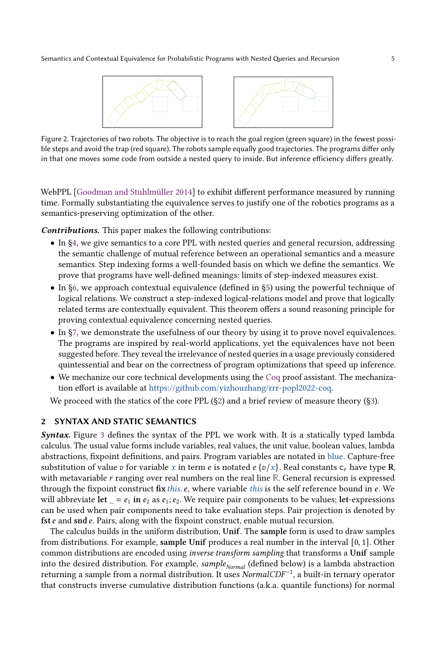<span id="page-4-0"></span>



Figure 2. Trajectories of two robots. The objective is to reach the goal region (green square) in the fewest possible steps and avoid the trap (red square). The robots sample equally good trajectories. The programs differ only in that one moves some code from outside a nested query to inside. But inference efficiency differs greatly.

WebPPL [\[Goodman and Stuhlmüller](#page-27-5) [2014\]](#page-27-5) to exhibit different performance measured by running time. Formally substantiating the equivalence serves to justify one of the robotics programs as a semantics-preserving optimization of the other.

Contributions. This paper makes the following contributions:

- In [§4,](#page-6-0) we give semantics to a core PPL with nested queries and general recursion, addressing the semantic challenge of mutual reference between an operational semantics and a measure semantics. Step indexing forms a well-founded basis on which we define the semantics. We prove that programs have well-defined meanings: limits of step-indexed measures exist.
- In [§6,](#page-15-0) we approach contextual equivalence (defined in [§5\)](#page-14-0) using the powerful technique of logical relations. We construct a step-indexed logical-relations model and prove that logically related terms are contextually equivalent. This theorem offers a sound reasoning principle for proving contextual equivalence concerning nested queries.
- In [§7,](#page-17-0) we demonstrate the usefulness of our theory by using it to prove novel equivalences. The programs are inspired by real-world applications, yet the equivalences have not been suggested before. They reveal the irrelevance of nested queries in a usage previously considered quintessential and bear on the correctness of program optimizations that speed up inference.
- We mechanize our core technical developments using the [Coq](#page-27-6) proof assistant. The mechanization effort is available at [https://github.com/yizhouzhang/rrr-popl2022-coq.](https://github.com/yizhouzhang/rrr-popl2022-coq)

We proceed with the statics of the core PPL  $(\S_2)$  and a brief review of measure theory  $(\S_3)$ .

# <span id="page-4-1"></span>2 SYNTAX AND STATIC SEMANTICS

Syntax. Figure [3](#page-5-0) defines the syntax of the PPL we work with. It is a statically typed lambda calculus. The usual value forms include variables, real values, the unit value, boolean values, lambda abstractions, fixpoint definitions, and pairs. Program variables are notated in blue. Capture-free substitution of value v for variable x in term e is notated  $e\left\{v/x\right\}$ . Real constants  $c_r$  have type R, with metavariable r ranging over real numbers on the real line **R**. General recursion is expressed through the fixpoint construct fix this.  $e$ , where variable this is the self reference bound in  $e$ . We will abbreviate let  $= e_1$  in  $e_2$  as  $e_1$ ;  $e_2$ . We require pair components to be values; let-expressions can be used when pair components need to take evaluation steps. Pair projection is denoted by fst  $e$  and snd  $e$ . Pairs, along with the fixpoint construct, enable mutual recursion.

The calculus builds in the uniform distribution, Unif. The sample form is used to draw samples from distributions. For example, sample Unif produces a real number in the interval [0, 1]. Other common distributions are encoded using inverse transform sampling that transforms a Unif sample into the desired distribution. For example,  $sample_{Normal}$  (defined below) is a lambda abstraction returning a sample from a normal distribution. It uses NormalCDF<sup>−</sup><sup>1</sup> , a built-in ternary operator that constructs inverse cumulative distribution functions (a.k.a. quantile functions) for normal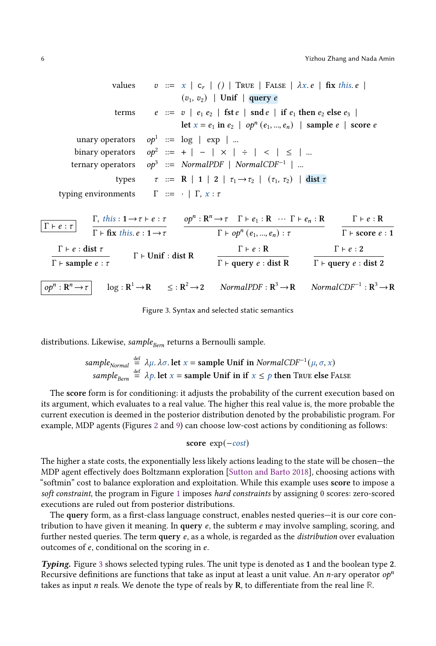<span id="page-5-0"></span>values 
$$
v ::= x \mid c_r \mid () \mid \text{TRUE} \mid \text{FALSE} \mid \lambda x. e \mid \text{fix this. } e \mid
$$
  
\n $(v_1, v_2) \mid \text{Unif} \mid \text{query } e$   
\nterms  $e ::= v \mid e_1 e_2 \mid \text{fst } e \mid \text{snd } e_1 \text{ then } e_2 \text{ else } e_3 \mid$   
\nlet  $x = e_1 \text{ in } e_2 \mid op^n (e_1, ..., e_n) \mid \text{sample } e \mid \text{ score } e$   
\nunary operators  $op^1 ::= \log \mid \text{exp} \mid ...$   
\nbinary operators  $op^2 ::= + \mid - \mid \times \mid \div \mid \lt \mid \lt \mid \le \mid ...$   
\nternary operators  $op^3 ::= \text{NormalPDF} \mid \text{NormalCDF}^{-1} \mid ...$   
\ntypes  $\tau ::= R \mid 1 \mid 2 \mid \tau_1 \rightarrow \tau_2 \mid (\tau_1, \tau_2) \mid \text{dist } \tau$   
\ntyping environments  $\Gamma ::= \cdot \mid \Gamma, x : \tau$   
\n $\boxed{\Gamma \vdash e : \tau}$   $\frac{\Gamma, \text{this} : 1 \rightarrow \tau \vdash e : \tau}{\Gamma \vdash \text{fix } \text{this } e : 1 \rightarrow \tau}$   $\frac{op^n : R^n \rightarrow \tau \quad \Gamma \vdash e_1 : R \cdots \Gamma \vdash e_n : R}{\Gamma \vdash op^n (e_1, ..., e_n) : \tau}$   $\frac{\Gamma \vdash e : R}{\Gamma \vdash \text{score } e : 1}$   
\n $\frac{\Gamma \vdash e : \text{dist } \tau}{\Gamma \vdash \text{sample } e : \tau}$   $\Gamma \vdash \text{Unit : \text{dist } R}$   $\frac{\Gamma \vdash e : R}{\Gamma \vdash \text{query } e : \text{dist } R}$   $\frac{\Gamma \vdash e : 2}{\Gamma \vdash \text{query } e : \text{dist } 2}$ 

 $op<sup>n</sup> : R$  $log: \mathbf{R}^1 \rightarrow \mathbf{R}$  $\leq$  :  $R^2$   $\rightarrow$  2  $NormalPDF : \mathbb{R}^3 \rightarrow \mathbb{R}$ <sup>3</sup> → R NormalCDF<sup>-1</sup>:  $R^3 \rightarrow R$ 

Figure 3. Syntax and selected static semantics

distributions. Likewise, sample $B_{\text{Bern}}$  returns a Bernoulli sample.

 $\overline{a}$ 

*sample<sub>Normal</sub>* 
$$
\stackrel{\text{def}}{=} \lambda \mu
$$
.  $\lambda \sigma$ . let  $x = \text{sample Unif in } NormalCDF^{-1}(\mu, \sigma, x)$   
*sample<sub>Bern</sub>*  $\stackrel{\text{def}}{=} \lambda p$ . let  $x = \text{sample Unif in if } x \le p$  then TRUE else FALSE

The score form is for conditioning: it adjusts the probability of the current execution based on its argument, which evaluates to a real value. The higher this real value is, the more probable the current execution is deemed in the posterior distribution denoted by the probabilistic program. For example, MDP agents (Figures [2](#page-4-0) and [9\)](#page-22-0) can choose low-cost actions by conditioning as follows:

#### score  $exp(-cost)$

The higher a state costs, the exponentially less likely actions leading to the state will be chosen—the MDP agent effectively does Boltzmann exploration [\[Sutton and Barto](#page-28-7) [2018\]](#page-28-7), choosing actions with "softmin" cost to balance exploration and exploitation. While this example uses score to impose a soft constraint, the program in Figure [1](#page-1-0) imposes hard constraints by assigning 0 scores: zero-scored executions are ruled out from posterior distributions.

The query form, as a first-class language construct, enables nested queries—it is our core contribution to have given it meaning. In query  $e$ , the subterm  $e$  may involve sampling, scoring, and further nested queries. The term query  $e$ , as a whole, is regarded as the *distribution* over evaluation outcomes of  $e$ , conditional on the scoring in  $e$ .

Typing. Figure [3](#page-5-0) shows selected typing rules. The unit type is denoted as 1 and the boolean type 2. Recursive definitions are functions that take as input at least a unit value. An *n*-ary operator  $op<sup>n</sup>$ takes as input *n* reals. We denote the type of reals by **R**, to differentiate from the real line  $\mathbb{R}$ .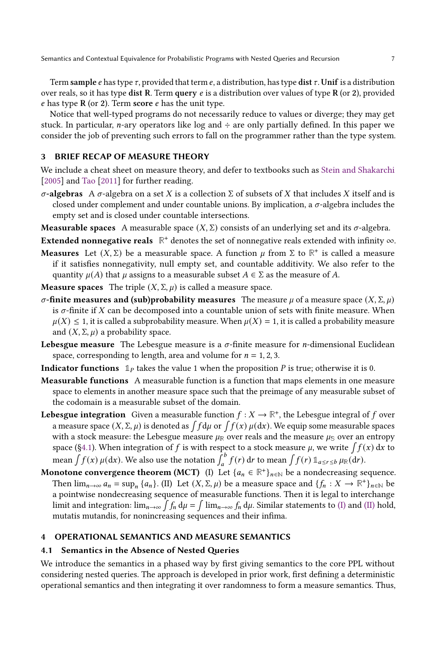Term sample  $e$  has type  $\tau$ , provided that term  $e$ , a distribution, has type dist  $\tau$ . Unif is a distribution over reals, so it has type dist R. Term query  $e$  is a distribution over values of type R (or 2), provided  $e$  has type R (or 2). Term score  $e$  has the unit type.

Notice that well-typed programs do not necessarily reduce to values or diverge; they may get stuck. In particular, *n*-ary operators like log and  $\div$  are only partially defined. In this paper we consider the job of preventing such errors to fall on the programmer rather than the type system.

# <span id="page-6-1"></span>3 BRIEF RECAP OF MEASURE THEORY

We include a cheat sheet on measure theory, and defer to textbooks such as [Stein and Shakarchi](#page-28-8) [\[2005\]](#page-28-8) and [Tao](#page-28-9) [\[2011\]](#page-28-9) for further reading.

 $\sigma$ -algebras A  $\sigma$ -algebra on a set X is a collection  $\Sigma$  of subsets of X that includes X itself and is closed under complement and under countable unions. By implication, a  $\sigma$ -algebra includes the empty set and is closed under countable intersections.

**Measurable spaces** A measurable space  $(X, \Sigma)$  consists of an underlying set and its  $\sigma$ -algebra.

**Extended nonnegative reals**  $\mathbb{R}^+$  denotes the set of nonnegative reals extended with infinity  $\infty$ .

**Measures** Let  $(X, \Sigma)$  be a measurable space. A function  $\mu$  from  $\Sigma$  to  $\mathbb{R}^+$  is called a measure if it satisfies nonnegativity, null empty set, and countable additivity. We also refer to the quantity  $\mu(A)$  that  $\mu$  assigns to a measurable subset  $A \in \Sigma$  as the measure of A.

**Measure spaces** The triple  $(X, \Sigma, \mu)$  is called a measure space.

- σ-finite measures and (sub)probability measures The measure  $\mu$  of a measure space  $(X, \Sigma, \mu)$ is  $\sigma$ -finite if X can be decomposed into a countable union of sets with finite measure. When  $\mu(X) \leq 1$ , it is called a subprobability measure. When  $\mu(X) = 1$ , it is called a probability measure and  $(X, \Sigma, \mu)$  a probability space.
- **Lebesgue measure** The Lebesgue measure is a  $\sigma$ -finite measure for *n*-dimensional Euclidean space, corresponding to length, area and volume for  $n = 1, 2, 3$ .
- **Indicator functions**  $\mathbb{1}_P$  takes the value 1 when the proposition P is true; otherwise it is 0.
- Measurable functions A measurable function is a function that maps elements in one measure space to elements in another measure space such that the preimage of any measurable subset of the codomain is a measurable subset of the domain.
- **Lebesgue integration** Given a measurable function  $f : X \to \mathbb{R}^+$ , the Lebesgue integral of f over a measure space  $(X, \Sigma, \mu)$  is denoted as  $\int f d\mu$  or  $\int f(x) \, \mu(dx)$ . We equip some measurable spaces with a stock measure: the Lebesgue measure  $\mu_{\mathbb{R}}$  over reals and the measure  $\mu_{\mathbb{S}}$  over an entropy space ([§4.1\)](#page-6-2). When integration of f is with respect to a stock measure  $\mu$ , we write  $\int f(x) dx$  to mean  $\int f(x) \mu(dx)$ . We also use the notation  $\int_a^b f(r) dr$  to mean  $\int f(r) 1\!\!1_{a \le r \le b} \mu_{\mathbb{R}}(dr)$ .
- <span id="page-6-4"></span><span id="page-6-3"></span>**Monotone convergence theorem (MCT)** (I) Let  $\{a_n \in \mathbb{R}^+\}_{n\in\mathbb{N}}$  be a nondecreasing sequence. Then  $\lim_{n\to\infty} a_n = \sup_n {\{a_n\}}$ . (II) Let  $(X, \Sigma, \mu)$  be a measure space and  ${\{f_n : X \to \mathbb{R}^+\}}_{n\in\mathbb{N}}$  be a pointwise nondecreasing sequence of measurable functions. Then it is legal to interchange limit and integration:  $\lim_{n\to\infty}\int f_n\,d\mu=\int\lim_{n\to\infty}f_n\,d\mu.$  Similar statements to [\(I\)](#page-6-3) and [\(II\)](#page-6-4) hold, mutatis mutandis, for nonincreasing sequences and their infima.

#### <span id="page-6-0"></span>4 OPERATIONAL SEMANTICS AND MEASURE SEMANTICS

## <span id="page-6-2"></span>4.1 Semantics in the Absence of Nested Queries

We introduce the semantics in a phased way by first giving semantics to the core PPL without considering nested queries. The approach is developed in prior work, first defining a deterministic operational semantics and then integrating it over randomness to form a measure semantics. Thus,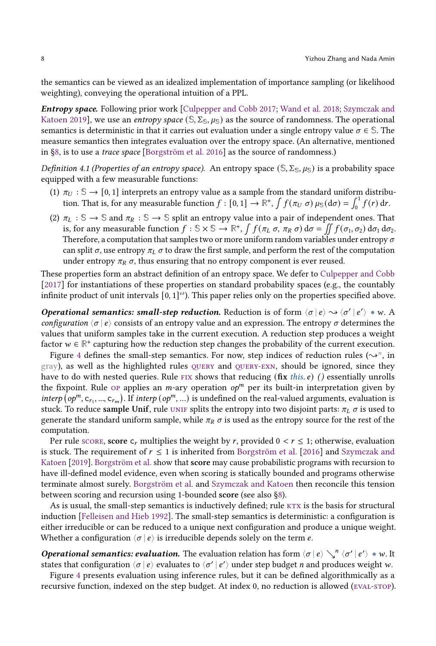the semantics can be viewed as an idealized implementation of importance sampling (or likelihood weighting), conveying the operational intuition of a PPL.

Entropy space. Following prior work [\[Culpepper and Cobb](#page-27-1) [2017;](#page-27-1) [Wand et al.](#page-28-3) [2018;](#page-28-3) [Szymczak and](#page-28-4) [Katoen](#page-28-4) [2019\]](#page-28-4), we use an *entropy space*  $(S, \Sigma_S, \mu_S)$  as the source of randomness. The operational semantics is deterministic in that it carries out evaluation under a single entropy value  $\sigma \in \mathbb{S}$ . The measure semantics then integrates evaluation over the entropy space. (An alternative, mentioned in [§8,](#page-23-0) is to use a trace space [\[Borgström et al.](#page-27-2) [2016\]](#page-27-2) as the source of randomness.)

<span id="page-7-0"></span>Definition 4.1 (Properties of an entropy space). An entropy space  $(S, \Sigma_S, \mu_S)$  is a probability space equipped with a few measurable functions:

- (1)  $\pi_U : \mathbb{S} \to [0, 1]$  interprets an entropy value as a sample from the standard uniform distribution. That is, for any measurable function  $f : [0,1] \to \mathbb{R}^+$ ,  $\int f(\pi_U \sigma) \mu_S(d\sigma) = \int_0^1 f(r) dr$ .
- (2)  $\pi_L : \mathbb{S} \to \mathbb{S}$  and  $\pi_R : \mathbb{S} \to \mathbb{S}$  split an entropy value into a pair of independent ones. That is, for any measurable function  $f : \mathbb{S} \times \mathbb{S} \to \mathbb{R}^+$ ,  $\int f(\pi_L \sigma, \pi_R \sigma) d\sigma = \iint f(\sigma_1, \sigma_2) d\sigma_1 d\sigma_2$ . Therefore, a computation that samples two or more uniform random variables under entropy  $\sigma$ can split  $\sigma$ , use entropy  $\pi_L \sigma$  to draw the first sample, and perform the rest of the computation under entropy  $\pi_R \sigma$ , thus ensuring that no entropy component is ever reused.

These properties form an abstract definition of an entropy space. We defer to [Culpepper and Cobb](#page-27-1) [\[2017\]](#page-27-1) for instantiations of these properties on standard probability spaces (e.g., the countably infinite product of unit intervals  $[0,1]^\omega$ ). This paper relies only on the properties specified above.

Operational semantics: small-step reduction. Reduction is of form  $\langle \sigma | e \rangle \rightsquigarrow \langle \sigma' | e' \rangle \bullet w$ . A configuration  $\langle \sigma | \epsilon \rangle$  consists of an entropy value and an expression. The entropy  $\sigma$  determines the values that uniform samples take in the current execution. A reduction step produces a weight factor  $w \in \mathbb{R}^+$  capturing how the reduction step changes the probability of the current execution.

Figure [4](#page-8-0) defines the small-step semantics. For now, step indices of reduction rules ( $\sim$ <sup>n</sup>, in gray), as well as the highlighted rules QUERY and QUERY-EXN, should be ignored, since they have to do with nested queries. Rule FIX shows that reducing ([fix](#page-8-0) this.  $e$ ) () essentially unrolls the fixpoint. Rule  $\circ$  applies an *m*-ary [op](#page-8-0)eration  $op<sup>m</sup>$  per its built-in interpretation given by interp  $(op^m, c_{r_1}, ..., c_{r_m})$ . If interp  $(op^m, ...)$  is undefined on the real-valued arguments, evaluation is stuck. To reduce sample Unif, rule UNIF splits the entropy into two disjoint parts:  $\pi_L \sigma$  is used to generate the standard uniform sample, while  $\pi_R \sigma$  is used as the entropy source for the rest of the computation.

Per rule [score,](#page-8-0) score  $c_r$  multiplies the weight by r, provided  $0 < r \leq 1$ ; otherwise, evaluation is stuck. The requirement of  $r \leq 1$  is inherited from [Borgström et al.](#page-27-2) [\[2016\]](#page-27-2) and [Szymczak and](#page-28-4) [Katoen](#page-28-4) [\[2019\]](#page-28-4). [Borgström et al.](#page-27-2) show that score may cause probabilistic programs with recursion to have ill-defined model evidence, even when scoring is statically bounded and programs otherwise terminate almost surely. [Borgström et al.](#page-27-2) and [Szymczak and Katoen](#page-28-4) then reconcile this tension between scoring and recursion using 1-bounded score (see also [§8\)](#page-23-0).

As is usual, the small-step semantics is inductively defined; rule KTX is the basis for structural induction [\[Felleisen and Hieb](#page-27-7) [1992\]](#page-27-7). The small-step semantics is deterministic: a configuration is either irreducible or can be reduced to a unique next configuration and produce a unique weight. Whether a configuration  $\langle \sigma | e \rangle$  is irreducible depends solely on the term *e*.

**Operational semantics: evaluation.** The evaluation relation has form  $\langle \sigma | e \rangle \searrow^n \langle \sigma' | e' \rangle \bullet w$ . It states that configuration  $\langle \sigma | e \rangle$  evaluates to  $\langle \sigma' | e' \rangle$  under step budget *n* and produces weight *w*.

Figure [4](#page-8-0) presents evaluation using inference rules, but it can be defined algorithmically as a recursive function, indexed on the step budget. At index 0, no reduction is allowed [\(eval-stop\)](#page-8-0).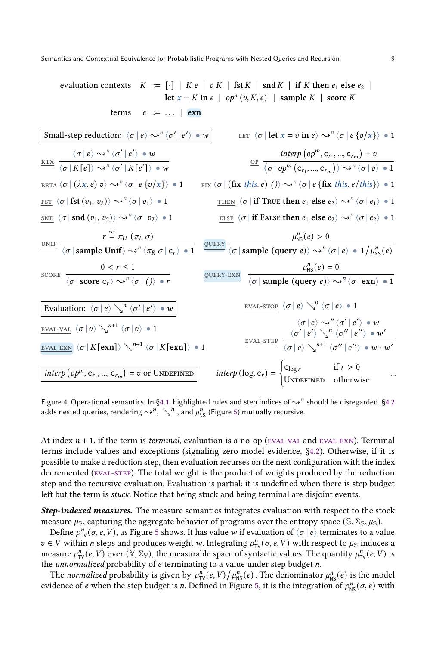<span id="page-8-0"></span>evaluation contexts  $K ::= [\cdot] | K e | v K | \text{fst } K | \text{snd } K | \text{if } K \text{ then } e_1 \text{ else } e_2 |$ let  $x = K$  in  $e \mid op^n(\overline{v}, K, \overline{e}) \mid$  sample  $K \mid$  score  $K$ terms  $e ::= ... | \text{exn}$ Small-step reduction:  $\langle \sigma | e \rangle \rightarrow^{\mathbb{R}} \langle \sigma' | e' \rangle$  $\overline{\rangle \bullet w}$  <u>LET</u>  $\langle \sigma | \text{let } x = v \text{ in } e \rangle \leadsto^n \langle \sigma | e \{v/x\} \rangle \bullet 1$ KTX  $\frac{\langle \sigma | e \rangle \rightsquigarrow^n \langle \sigma' | e' \rangle \bullet w}{\langle \sigma' | e' \rangle \cdot w}$  $\langle \sigma | K[e] \rangle \leadsto^{n} \langle \sigma' | K[e'] \rangle \bullet w$ op  $\frac{\text{interp} (op^m, c_{r_1}, ..., c_{r_m}) = v}{\cdots}$  $\overline{\langle \sigma | \mathit{op}^m \left( \mathsf{c}_{r_1}, ..., \mathsf{c}_{r_m} \right) \rangle} \rightsquigarrow^n \overline{\langle \sigma | v \rangle} \bullet 1$ BETA  $\langle \sigma | (\lambda x. e) v \rangle \rightsquigarrow^n \langle \sigma | e \{v/x\} \rangle = 1$  $\langle \sigma | e \{v/x\} \rangle \cdot 1$   $\underline{\text{Fix}} \langle \sigma | (\textbf{fix this.} e) () \rangle \rightarrow^n \langle \sigma | e \{ \textbf{fix this.} e / this \} \rangle \cdot 1$ FST  $\langle \sigma | \mathbf{fst}(v_1, v_2) \rangle \rightsquigarrow^n \langle \sigma | v_1 \rangle \bullet 1$  $\langle \sigma | v_1 \rangle = 1$  THEN  $\langle \sigma |$  if True then  $e_1$  else  $e_2 \rangle \sim^n \langle \sigma | e_1 \rangle = 1$  $\sup \langle \sigma | \operatorname{snd} (v_1, v_2) \rangle \rightsquigarrow^n \langle \sigma | v_2 \rangle \bullet 1$  $\langle \sigma | v_2 \rangle$  • 1 ELSE  $\langle \sigma |$  if FALSE then  $e_1$  else  $e_2 \rangle \sim^n \langle \sigma | e_2 \rangle$  • 1 UNIF  $r \stackrel{\text{def}}{=} \pi_U (\pi_L \sigma)$  $r \stackrel{\text{def}}{=} \pi_U (\pi_L \sigma)$ <br>  $\langle \sigma | \text{sample Unit} \rangle \rightsquigarrow^n \langle \pi_R \sigma | c_r \rangle = 1$   $\frac{\text{QUERY}}{\langle \sigma | \text{sample (query } e) \rangle \sim^n \langle \sigma | c_r \rangle}$  $\langle \sigma \, | \, \mathrm{sample} \, \left( \mathrm{query} \, e \right) \rangle \leadsto^{n} \langle \sigma \, | \, e \rangle \, \bullet \, 1 \big/ \mu_{\text{NS}}^{n}(e)$  $0 < r \leq 1$  $\langle \sigma |$  score  $\mathsf{c}_r \rangle \leadsto^n \langle \sigma | () \rangle \bullet r$  $\mu_{\text{NS}}^n(e) = 0$  $\langle \sigma |$  sample (query e)  $\rangle \rightarrow^n \langle \sigma |$  exn $\rangle \bullet 1$ Evaluation:  $\langle \sigma | e \rangle \searrow^{n} \langle \sigma' | e' \rangle \bullet w$ EVAL-VAL  $\langle \sigma | v \rangle \searrow^{n+1} \langle \sigma | v \rangle \bullet 1$  $\overline{\text{eval-exn}} \, \bra{\sigma} K[\textbf{exn}] \rangle \searrow^{n+1} \bra{\sigma} K[\textbf{exn}] \rangle \, \bullet \, 1$ EVAL-STOP  $\langle \sigma | e \rangle \searrow^0 \langle \sigma | e \rangle \cdot 1$ eval-step  $\langle \sigma | e \rangle \leadsto^{n} \langle \sigma' | e' \rangle \bullet w$  $\langle \sigma' | e' \rangle \searrow^n \langle \sigma'' | e'' \rangle \bullet w'$  $\overline{\langle \sigma | e \rangle \searrow}^{n+1} \overline{\langle \sigma'' | e'' \rangle} \bullet w \cdot w'$ interp  $(op^m, c_{r_1}, ..., c_{r_m})$  $= v \text{ or Unperinep}$  interp (log, c<sub>r</sub>) =  $\begin{cases} c_{\text{log}r} & \text{if } r > 0 \\ v_r & \text{if } r > 0 \end{cases}$ UNDEFINED otherwise ...

Figure 4. Operational semantics. In [§4.1,](#page-6-2) highlighted rules and step indices of  $\leadsto^\eta$  should be disregarded. [§4.2](#page-9-0) adds nested queries, rendering  $\sim^n$ ,  $\searrow^n$ , and  $\mu_{\text{NS}}^n$  (Figure [5\)](#page-9-1) mutually recursive.

At index  $n + 1$ , if the term is *terminal*, evaluation is a no-op (EVAL-VAL and EVAL-EXN). Terminal terms include values and exceptions (signaling zero model evidence, [§4.2\)](#page-9-0). Otherwise, if it is possible to make a reduction step, then evaluation recurses on the next configuration with the index decremented [\(eval-step\)](#page-8-0). The total weight is the product of weights produced by the reduction step and the recursive evaluation. Evaluation is partial: it is undefined when there is step budget left but the term is stuck. Notice that being stuck and being terminal are disjoint events.

Step-indexed measures. The measure semantics integrates evaluation with respect to the stock measure  $\mu_{\mathbb{S}}$ , capturing the aggregate behavior of programs over the entropy space ( $\mathbb{S}, \Sigma_{\mathbb{S}}, \mu_{\mathbb{S}}$ ).

Define  $\rho_{\text{TV}}^n(\sigma, e, V)$ , as Figure [5](#page-9-1) shows. It has value w if evaluation of  $\langle \sigma | e \rangle$  terminates to a value  $v \in V$  within *n* steps and produces weight w. Integrating  $\rho_{\text{TV}}^n(\sigma, e, V)$  with respect to  $\mu_{\text{S}}$  induces a measure  $\mu_{TV}^n(e, V)$  over  $(\overline{V}, \Sigma_V)$ , the measurable space of syntactic values. The quantity  $\mu_{TV}^n(e, V)$  is the *unnormalized* probability of  $e$  terminating to a value under step budget  $n$ .

The normalized probability is given by  $\mu_{TV}^n(e, V) / \mu_{NS}^n(e)$ . The denominator  $\mu_{NS}^n(e)$  is the model evidence of e when the step budget is *n*. Defined in Figure [5,](#page-9-1) it is the integration of  $\rho_{\text{NS}}^n(\sigma, e)$  with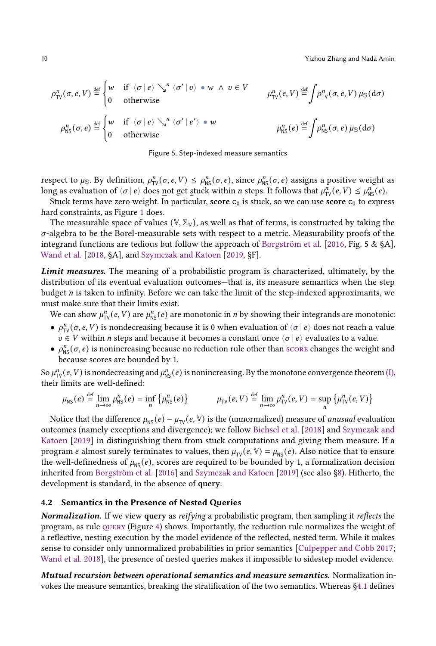<span id="page-9-1"></span>
$$
\rho_{\text{TV}}^n(\sigma, e, V) \stackrel{\text{def}}{=} \begin{cases} w & \text{if } \langle \sigma | e \rangle \searrow^n \langle \sigma' | v \rangle \bullet w \land v \in V \\ 0 & \text{otherwise} \end{cases} \quad \mu_{\text{TV}}^n(e, V) \stackrel{\text{def}}{=} \int \rho_{\text{TV}}^n(\sigma, e, V) \mu_{\text{S}}(d\sigma)
$$
\n
$$
\rho_{\text{NS}}^n(\sigma, e) \stackrel{\text{def}}{=} \begin{cases} w & \text{if } \langle \sigma | e \rangle \searrow^n \langle \sigma' | e' \rangle \bullet w \\ 0 & \text{otherwise} \end{cases} \quad \mu_{\text{NS}}^n(e) \stackrel{\text{def}}{=} \int \rho_{\text{NS}}^n(\sigma, e) \mu_{\text{S}}(d\sigma)
$$

Figure 5. Step-indexed measure semantics

respect to  $\mu_{\mathbb{S}}$ . By definition,  $\rho_{\text{TV}}^n(\sigma, e, V) \leq \rho_{\text{NS}}^n(\sigma, e)$ , since  $\rho_{\text{NS}}^n(\sigma, e)$  assigns a positive weight as long as evaluation of  $\langle \sigma | e \rangle$  does not get stuck within *n* steps. It follows that  $\mu_{TV}^n(e, V) \leq \mu_{NS}^n(e)$ .

Stuck terms have zero weight. In particular, score  $c_0$  is stuck, so we can use score  $c_0$  to express hard constraints, as Figure [1](#page-1-0) does.

The measurable space of values  $(\mathbb{V}, \Sigma_{\mathbb{V}})$ , as well as that of terms, is constructed by taking the  $\sigma$ -algebra to be the Borel-measurable sets with respect to a metric. Measurability proofs of the integrand functions are tedious but follow the approach of [Borgström et al.](#page-27-2) [\[2016,](#page-27-2) Fig. 5 & §A], [Wand et al.](#page-28-3) [\[2018,](#page-28-3) §A], and [Szymczak and Katoen](#page-28-4) [\[2019,](#page-28-4) §F].

Limit measures. The meaning of a probabilistic program is characterized, ultimately, by the distribution of its eventual evaluation outcomes—that is, its measure semantics when the step budget  $n$  is taken to infinity. Before we can take the limit of the step-indexed approximants, we must make sure that their limits exist.

We can show  $\mu_{TV}^n(e, V)$  are  $\mu_{NS}^n(e)$  are monotonic in *n* by showing their integrands are monotonic:

- $\rho_{\text{TV}}^n(\sigma, e, V)$  is nondecreasing because it is 0 when evaluation of  $\langle \sigma | e \rangle$  does not reach a value  $v \in V$  within *n* steps and because it becomes a constant once  $\langle \sigma | e \rangle$  evaluates to a value.
- $\rho_{\text{NS}}^n(\sigma, e)$  is nonincreasing because no reduction rule other than [score](#page-8-0) changes the weight and because scores are bounded by 1.

So  $\mu_{\rm TV}^n(e, V)$  is nondecreasing and  $\mu_{\rm NS}^n(e)$  is nonincreasing. By the monotone convergence theorem [\(I\),](#page-6-3) their limits are well-defined:

$$
\mu_{\text{NS}}(e) \stackrel{\text{def}}{=} \lim_{n \to \infty} \mu_{\text{NS}}^n(e) = \inf_{n} \left\{ \mu_{\text{NS}}^n(e) \right\} \qquad \mu_{\text{TV}}(e, V) \stackrel{\text{def}}{=} \lim_{n \to \infty} \mu_{\text{TV}}^n(e, V) = \sup_{n} \left\{ \mu_{\text{TV}}^n(e, V) \right\}
$$

Notice that the difference  $\mu_{\text{NS}}(e) - \mu_{\text{TV}}(e, \mathbb{V})$  is the (unnormalized) measure of *unusual* evaluation outcomes (namely exceptions and divergence); we follow [Bichsel et al.](#page-27-8) [\[2018\]](#page-27-8) and [Szymczak and](#page-28-4) [Katoen](#page-28-4) [\[2019\]](#page-28-4) in distinguishing them from stuck computations and giving them measure. If a program *e* almost surely terminates to values, then  $\mu_{\text{TV}}(e, \mathbb{V}) = \mu_{\text{NS}}(e)$ . Also notice that to ensure the well-definedness of  $\mu_{\text{NS}}(e)$ , scores are required to be bounded by 1, a formalization decision inherited from [Borgström et al.](#page-27-2) [\[2016\]](#page-27-2) and [Szymczak and Katoen](#page-28-4) [\[2019\]](#page-28-4) (see also [§8\)](#page-23-0). Hitherto, the development is standard, in the absence of query.

## <span id="page-9-0"></span>4.2 Semantics in the Presence of Nested Queries

Normalization. If we view query as reifying a probabilistic program, then sampling it reflects the program, as rule  $\alpha$  (Figure [4\)](#page-8-0) shows. Importantly, the reduction rule normalizes the weight of a reflective, nesting execution by the model evidence of the reflected, nested term. While it makes sense to consider only unnormalized probabilities in prior semantics [\[Culpepper and Cobb](#page-27-1) [2017;](#page-27-1) [Wand et al.](#page-28-3) [2018\]](#page-28-3), the presence of nested queries makes it impossible to sidestep model evidence.

Mutual recursion between operational semantics and measure semantics. Normalization invokes the measure semantics, breaking the stratification of the two semantics. Whereas [§4.1](#page-6-2) defines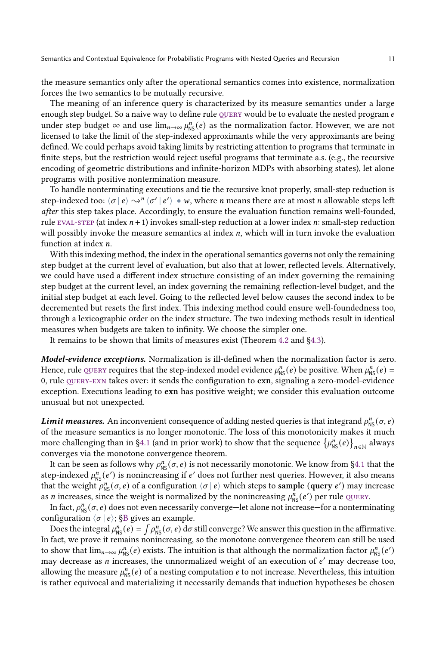the measure semantics only after the operational semantics comes into existence, normalization forces the two semantics to be mutually recursive.

The meaning of an inference query is characterized by its measure semantics under a large enough step budget. So a naive way to define rule  $_{\text{QUERY}}$  would be to evaluate the nested program  $e$ under step budget  $\infty$  and use  $\lim_{n\to\infty}\mu_{NS}^n(e)$  as the normalization factor. However, we are not licensed to take the limit of the step-indexed approximants while the very approximants are being defined. We could perhaps avoid taking limits by restricting attention to programs that terminate in finite steps, but the restriction would reject useful programs that terminate a.s. (e.g., the recursive encoding of geometric distributions and infinite-horizon MDPs with absorbing states), let alone programs with positive nontermination measure.

To handle nonterminating executions and tie the recursive knot properly, small-step reduction is step-indexed too:  $\langle \sigma | e \rangle \rightarrow^{n} \langle \sigma' | e' \rangle \bullet w$ , where *n* means there are at most *n* allowable steps left after this step takes place. Accordingly, to ensure the evaluation function remains well-founded, rule EVAL-STEP (at index  $n + 1$ ) invokes small-step reduction at a lower index  $n$ : small-step reduction will possibly invoke the measure semantics at index  $n$ , which will in turn invoke the evaluation function at index  $n$ .

With this indexing method, the index in the operational semantics governs not only the remaining step budget at the current level of evaluation, but also that at lower, reflected levels. Alternatively, we could have used a different index structure consisting of an index governing the remaining step budget at the current level, an index governing the remaining reflection-level budget, and the initial step budget at each level. Going to the reflected level below causes the second index to be decremented but resets the first index. This indexing method could ensure well-foundedness too, through a lexicographic order on the index structure. The two indexing methods result in identical measures when budgets are taken to infinity. We choose the simpler one.

It remains to be shown that limits of measures exist (Theorem [4.2](#page-11-0) and [§4.3\)](#page-11-1).

Model-evidence exceptions. Normalization is ill-defined when the normalization factor is zero. Hence, rule QUERY requires that the step-indexed model evidence  $\mu_{NS}^n(e)$  be positive. When  $\mu_{NS}^n(e)$  = 0, rule QUERY-EXN takes over: it sends the configuration to  $exn$ , signaling a zero-model-evidence exception. Executions leading to exn has positive weight; we consider this evaluation outcome unusual but not unexpected.

**Limit measures.** An inconvenient consequence of adding nested queries is that integrand  $\rho^n_{\text{NS}}(\sigma, e)$ of the measure semantics is no longer monotonic. The loss of this monotonicity makes it much more challenging than in [§4.1](#page-6-2) (and in prior work) to show that the sequence  $\{\mu_{\text{NS}}^n(e)\}_{n\in\mathbb{N}}$  always converges via the monotone convergence theorem.

It can be seen as follows why  $\rho_{NS}^n(\sigma, e)$  is not necessarily monotonic. We know from [§4.1](#page-6-2) that the step-indexed  $\mu_{NS}^n(e')$  is nonincreasing if e' does not further nest queries. However, it also means that the weight  $\rho_{NS}^n(\sigma, e)$  of a configuration  $\langle \sigma | e \rangle$  which steps to sample (query  $e'$ ) may increase as *n* increases, since the weight is normalized by the nonincreasing  $\mu_{NS}^n(e')$  per rule QUERY.

In fact,  $\rho_{\text{NS}}^n(\sigma, e)$  does not even necessarily converge—let alone not increase—for a nonterminating configuration  $\langle \sigma | e \rangle$ ; [§B](#page-26-0) gives an example.

Does the integral  $\mu_{NS}^n(e) = \int \rho_{NS}^n(\sigma, e) d\sigma$  still converge? We answer this question in the affirmative. In fact, we prove it remains nonincreasing, so the monotone convergence theorem can still be used to show that  $\lim_{n\to\infty}\mu_{NS}^n(e)$  exists. The intuition is that although the normalization factor  $\mu_{NS}^n(e')$ may decrease as *n* increases, the unnormalized weight of an execution of  $e'$  may decrease too. allowing the measure  $\mu_{\text{NS}}^n(e)$  of a nesting computation  $e$  to not increase. Nevertheless, this intuition is rather equivocal and materializing it necessarily demands that induction hypotheses be chosen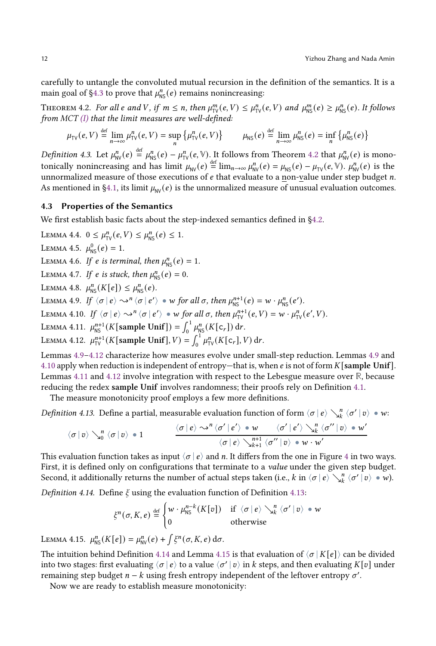carefully to untangle the convoluted mutual recursion in the definition of the semantics. It is a main goal of [§4.3](#page-11-1) to prove that  $\mu_{\text{NS}}^n(e)$  remains nonincreasing:

<span id="page-11-0"></span>THEOREM 4.2. For all  $e$  and  $V$ , if  $m \le n$ , then  $\mu_{TV}^m(e, V) \le \mu_{TV}^n(e, V)$  and  $\mu_{NS}^m(e) \ge \mu_{NS}^n(e)$ . It follows from  $MCT$  [\(I\)](#page-6-3) that the limit measures are well-defined:

$$
\mu_{\text{TV}}(e, V) \stackrel{\text{def}}{=} \lim_{n \to \infty} \mu_{\text{TV}}^n(e, V) = \sup_{n} \left\{ \mu_{\text{TV}}^n(e, V) \right\} \qquad \mu_{\text{NS}}(e) \stackrel{\text{def}}{=} \lim_{n \to \infty} \mu_{\text{NS}}^n(e) = \inf_{n} \left\{ \mu_{\text{NS}}^n(e) \right\}
$$

Definition 4.3. Let  $\mu_{\text{NV}}^n(e) \stackrel{\text{def}}{=} \mu_{\text{NS}}^n(e) - \mu_{\text{TV}}^n(e, \mathbb{V})$ . It follows from Theorem [4.2](#page-11-0) that  $\mu_{\text{NV}}^n(e)$  is monotonically nonincreasing and has limit  $\mu_{NV}(e) = \lim_{n \to \infty} \mu_{NV}^n(e) = \mu_{NS}(e) - \mu_{TV}(e, \mathbb{V})$ .  $\mu_{NV}^n(e)$  is the unnormalized measure of those executions of  $e$  that evaluate to a non-value under step budget  $n$ . As mentioned in [§4.1,](#page-6-2) its limit  $\mu_{\text{NV}}(e)$  is the unnormalized measure of unusual evaluation outcomes.

#### <span id="page-11-1"></span>4.3 Properties of the Semantics

We first establish basic facts about the step-indexed semantics defined in [§4.2.](#page-9-0)

<span id="page-11-14"></span><span id="page-11-13"></span><span id="page-11-12"></span><span id="page-11-11"></span><span id="page-11-10"></span>LEMMA 4.4.  $0 \leq \mu_{\text{TV}}^n(e, V) \leq \mu_{\text{NS}}^n(e) \leq 1$ . LEMMA 4.5.  $\mu_{\text{NS}}^0(e) = 1$ . LEMMA 4.6. If e is terminal, then  $\mu_{\text{NS}}^n(e) = 1$ . LEMMA 4.7. If e is stuck, then  $\mu_{\text{NS}}^n(e) = 0$ . LEMMA 4.8.  $\mu_{\text{NS}}^n(K[e]) \leq \mu_{\text{NS}}^n(e)$ . LEMMA 4.9. If  $\langle \sigma | e \rangle \leadsto^n \langle \sigma | e' \rangle \bullet w$  for all  $\sigma$ , then  $\mu_{\text{NS}}^{n+1}(e) = w \cdot \mu_{\text{NS}}^n(e').$ LEMMA 4.10. If  $\langle \sigma | e \rangle \leadsto^n \langle \sigma | e' \rangle * w$  for all  $\sigma$ , then  $\mu_{\text{TV}}^{n+1}(e, V) = w \cdot \mu_{\text{TV}}^n(e', V)$ . LEMMA 4.11.  $\mu_{\text{NS}}^{n+1}(K[\text{sample Unif}]) = \int_0^1 \mu_{\text{NS}}^n(K[\mathsf{c}_r]) dr$ . LEMMA 4.12.  $\mu_{\text{TV}}^{n+1}(K[\text{sample Unif}], V) = \int_0^1 \mu_{\text{TV}}^n(K[c_r], V) dr$ .

<span id="page-11-5"></span><span id="page-11-4"></span><span id="page-11-3"></span><span id="page-11-2"></span>Lemmas [4.9–](#page-11-2)[4.12](#page-11-3) characterize how measures evolve under small-step reduction. Lemmas [4.9](#page-11-2) and [4.10](#page-11-4) apply when reduction is independent of entropy—that is, when  $e$  is not of form  $K[\text{sample Unit}]$ . Lemmas [4.11](#page-11-5) and [4.12](#page-11-3) involve integration with respect to the Lebesgue measure over **R**, because reducing the redex sample Unif involves randomness; their proofs rely on Definition [4.1.](#page-7-0)

The measure monotonicity proof employs a few more definitions.

<span id="page-11-6"></span>*Definition 4.13.* Define a partial, measurable evaluation function of form  $\langle \sigma | e \rangle \searrow^{\bar{n}}_{k} \langle \sigma' | v \rangle \bullet w$ :

$$
\langle \sigma \, | \, v \rangle \searrow_0^n \langle \sigma \, | \, v \rangle \, \bullet \, 1 \qquad \qquad \\ \frac{\langle \sigma \, | \, e \rangle \leadsto^n \langle \sigma' \, | \, e' \rangle \, \bullet \, w \qquad \langle \sigma' \, | \, e' \rangle \searrow_k^n \langle \sigma'' \, | \, v \rangle \, \bullet \, w'}{\langle \sigma \, | \, e \rangle \searrow_{k+1}^{n+1} \langle \sigma'' \, | \, v \rangle \, \bullet \, w \cdot w'}
$$

This evaluation function takes as input  $\langle \sigma | e \rangle$  and *n*. It differs from the one in Figure [4](#page-8-0) in two ways. First, it is defined only on configurations that terminate to a *value* under the given step budget. Second, it additionally returns the number of actual steps taken (i.e., k in  $\langle \sigma | e \rangle \searrow_h^n \langle \sigma' | v \rangle \bullet w$ ).

<span id="page-11-7"></span>Definition 4.14. Define  $\xi$  using the evaluation function of Definition [4.13:](#page-11-6)

$$
\xi^{n}(\sigma, K, e) \stackrel{\text{def}}{=} \begin{cases} w \cdot \mu_{\text{NS}}^{n-k}(K[v]) & \text{if } \langle \sigma | e \rangle \searrow_{k}^{n} \langle \sigma' | v \rangle \bullet w \\ 0 & \text{otherwise} \end{cases}
$$

<span id="page-11-8"></span>LEMMA 4.15.  $\mu_{\text{NS}}^n(K[e]) = \mu_{\text{NV}}^n(e) + \int \xi^n(\sigma, K, e) d\sigma.$ 

The intuition behind Definition [4.14](#page-11-7) and Lemma [4.15](#page-11-8) is that evaluation of  $\langle \sigma | K | e \rangle$  can be divided into two stages: first evaluating  $\langle \sigma | e \rangle$  to a value  $\langle \sigma' | v \rangle$  in k steps, and then evaluating K[v] under remaining step budget  $n - k$  using fresh entropy independent of the leftover entropy  $\sigma'$ .

<span id="page-11-9"></span>Now we are ready to establish measure monotonicity: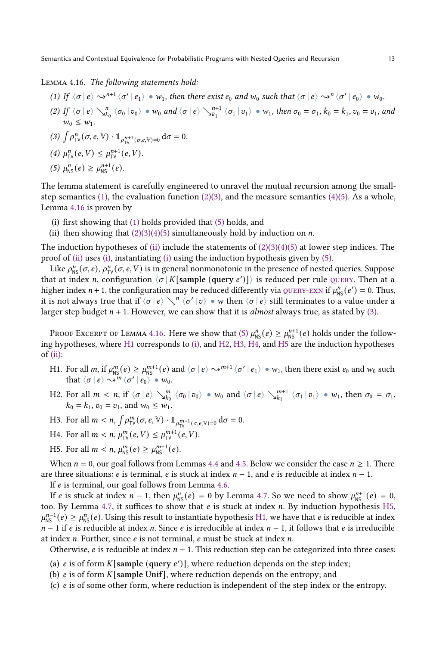#### Lemma 4.16. The following statements hold:

- <span id="page-12-0"></span>(1) If  $\langle \sigma | e \rangle \leadsto^{n+1} \langle \sigma' | e_1 \rangle \bullet w_1$ , then there exist  $e_0$  and  $w_0$  such that  $\langle \sigma | e \rangle \leadsto^n \langle \sigma' | e_0 \rangle \bullet w_0$ .
- <span id="page-12-1"></span>(2) If  $\langle \sigma | e \rangle \searrow_{k_0}^n \langle \sigma_0 | v_0 \rangle \bullet w_0$  and  $\langle \sigma | e \rangle \searrow_{k_1}^{n+1} \langle \sigma_1 | v_1 \rangle \bullet w_1$ , then  $\sigma_0 = \sigma_1$ ,  $k_0 = k_1$ ,  $v_0 = v_1$ , and  $w_0 \leq w_1$ .

<span id="page-12-2"></span>
$$
(3) \int \rho_{\text{TV}}^n(\sigma, e, \mathbb{V}) \cdot \mathbb{1}_{\rho_{\text{TV}}^{n+1}(\sigma, e, \mathbb{V})=0} d\sigma = 0.
$$

<span id="page-12-3"></span>(4)  $\mu_{TV}^n(e, V) \leq \mu_{TV}^{n+1}(e, V)$ .

<span id="page-12-4"></span>(5) 
$$
\mu_{\rm NS}^n(e) \ge \mu_{\rm NS}^{n+1}(e)
$$
.

The lemma statement is carefully engineered to unravel the mutual recursion among the small-step semantics [\(1\),](#page-12-0) the evaluation function [\(2\)](#page-12-1)[\(3\),](#page-12-2) and the measure semantics [\(4\)](#page-12-3)[\(5\).](#page-12-4) As a whole, Lemma [4.16](#page-11-9) is proven by

- <span id="page-12-6"></span>(i) first showing that [\(1\)](#page-12-0) holds provided that [\(5\)](#page-12-4) holds, and
- <span id="page-12-5"></span>(ii) then showing that  $(2)(3)(4)(5)$  $(2)(3)(4)(5)$  $(2)(3)(4)(5)$  $(2)(3)(4)(5)$  simultaneously hold by induction on *n*.

The induction hypotheses of [\(ii\)](#page-12-5) include the statements of  $(2)(3)(4)(5)$  $(2)(3)(4)(5)$  $(2)(3)(4)(5)$  $(2)(3)(4)(5)$  at lower step indices. The proof of [\(ii\)](#page-12-5) uses [\(i\),](#page-12-6) instantiating [\(i\)](#page-12-6) using the induction hypothesis given by [\(5\).](#page-12-4)

Like  $\rho_{NS}^n(\sigma, e)$ ,  $\rho_{TV}^n(\sigma, e, V)$  is in general nonmonotonic in the presence of nested queries. Suppose that at index *n*, configuration  $\langle \sigma | K$  [sample (query e')]) is reduced per rule QUERY. Then at a higher index  $n + 1$ , the configuration may be reduced differently via QUERY-EXN if  $\mu_{NS}^n(e') = 0$ . Thus, it is not always true that if  $\langle \sigma | e \rangle \setminus \gamma^n$   $\langle \sigma' | v \rangle \cong w$  then  $\langle \sigma | e \rangle$  still terminates to a value under a larger step budget  $n + 1$ . However, we can show that it is *almost* always true, as stated by [\(3\).](#page-12-2)

PROOF EXCERPT OF LEMMA [4.16.](#page-11-9) Here we show that [\(5\)](#page-12-4)  $\mu_{\text{NS}}^n(e) \ge \mu_{\text{NS}}^{n+1}(e)$  holds under the following hypotheses, where [H1](#page-12-7) corresponds to [\(i\),](#page-12-6) and [H2,](#page-12-8) [H3,](#page-12-9) [H4,](#page-12-10) and [H5](#page-12-11) are the induction hypotheses of  $(ii)$ :

- <span id="page-12-7"></span>H1. For all m, if  $\mu_{\text{NS}}^m(e) \ge \mu_{\text{NS}}^{m+1}(e)$  and  $\langle \sigma | e \rangle \leadsto^{m+1} \langle \sigma' | e_1 \rangle \bullet w_1$ , then there exist  $e_0$  and  $w_0$  such that  $\langle \sigma | e \rangle \rightarrow^m \langle \sigma' | e_0 \rangle \bullet w_0$ .
- <span id="page-12-8"></span>H2. For all  $m < n$ , if  $\langle \sigma | e \rangle \searrow_{k_0}^m \langle \sigma_0 | v_0 \rangle \bullet w_0$  and  $\langle \sigma | e \rangle \searrow_{k_1}^{m+1} \langle \sigma_1 | v_1 \rangle \bullet w_1$ , then  $\sigma_0 = \sigma_1$ ,  $k_0 = k_1$ ,  $v_0 = v_1$ , and  $w_0 \leq w_1$ .
- <span id="page-12-9"></span>H3. For all  $m < n$ ,  $\int \rho_{\text{TV}}^m(\sigma, e, \mathbb{V}) \cdot \mathbb{1}_{\rho_{\text{TV}}^{m+1}(\sigma, e, \mathbb{V})=0} d\sigma = 0$ .
- <span id="page-12-10"></span>H4. For all  $m < n$ ,  $\mu_{\text{TV}}^m(e, V) \leq \mu_{\text{TV}}^{m+1}(e, V)$ .
- <span id="page-12-11"></span>H5. For all  $m < n$ ,  $\mu_{\text{NS}}^{m}(e) \ge \mu_{\text{NS}}^{m+1}(e)$ .

When  $n = 0$ , our goal follows from Lemmas [4.4](#page-11-10) and [4.5.](#page-11-11) Below we consider the case  $n \ge 1$ . There are three situations: *e* is terminal, *e* is stuck at index  $n - 1$ , and *e* is reducible at index  $n - 1$ .

If  $e$  is terminal, our goal follows from Lemma [4.6.](#page-11-12)

If *e* is stuck at index  $n-1$ , then  $\mu_{NS}^n(e) = 0$  by Lemma [4.7.](#page-11-13) So we need to show  $\mu_{NS}^{n+1}(e) = 0$ , too. By Lemma [4.7,](#page-11-13) it suffices to show that  $e$  is stuck at index  $n$ . By induction hypothesis [H5,](#page-12-11)  $\mu_{\text{NS}}^{n-1}(e) \geq \mu_{\text{NS}}^n(e)$ . Using this result to instantiate hypothesis [H1,](#page-12-7) we have that e is reducible at index  $n-1$  if e is reducible at index n. Since e is irreducible at index  $n-1$ , it follows that e is irreducible at index  $n$ . Further, since  $e$  is not terminal,  $e$  must be stuck at index  $n$ .

Otherwise, *e* is reducible at index  $n - 1$ . This reduction step can be categorized into three cases:

- <span id="page-12-14"></span>(a)  $e$  is of form  $K[\text{sample (query } e')]$ , where reduction depends on the step index;
- <span id="page-12-13"></span>(b)  $e$  is of form K [sample Unif], where reduction depends on the entropy; and
- <span id="page-12-12"></span>(c)  $e$  is of some other form, where reduction is independent of the step index or the entropy.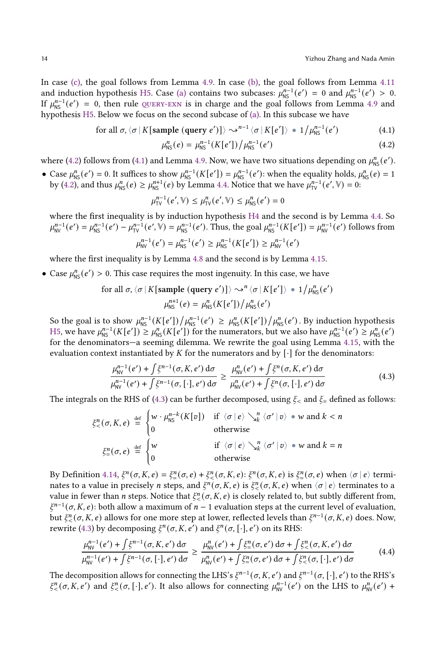In case [\(c\),](#page-12-12) the goal follows from Lemma [4.9.](#page-11-2) In case [\(b\),](#page-12-13) the goal follows from Lemma [4.11](#page-11-5) and induction hypothesis [H5.](#page-12-11) Case [\(a\)](#page-12-14) contains two subcases:  $\mu_{NS}^{n-1}(e') = 0$  and  $\mu_{NS}^{n-1}(e') > 0$ . If  $\mu_{\text{NS}}^{n-1}(e') = 0$ , then rule QUERY-EXN is in charge and the goal follows from Lemma [4.9](#page-11-2) and hypothesis [H5.](#page-12-11) Below we focus on the second subcase of [\(a\).](#page-12-14) In this subcase we have

for all 
$$
\sigma
$$
,  $\langle \sigma | K[\text{sample (query } e')] \rangle \sim^{n-1} \langle \sigma | K[e'] \rangle \bullet 1/\mu_{\text{NS}}^{n-1}(e')$  (4.1)

<span id="page-13-1"></span><span id="page-13-0"></span>
$$
\mu_{\rm NS}^n(e) = \mu_{\rm NS}^{n-1}(K[e']) / \mu_{\rm NS}^{n-1}(e')
$$
\n(4.2)

where [\(4.2\)](#page-13-0) follows from [\(4.1\)](#page-13-1) and Lemma [4.9.](#page-11-2) Now, we have two situations depending on  $\mu_{\text{NS}}^n(e')$ .

• Case  $\mu_{\text{NS}}^n(e') = 0$ . It suffices to show  $\mu_{\text{NS}}^{n-1}(K[e']) = \mu_{\text{NS}}^{n-1}(e')$ : when the equality holds,  $\mu_{\text{NS}}^n(e) = 1$ by [\(4.2\)](#page-13-0), and thus  $\mu_{NS}^n(e) \ge \mu_{NS}^{n+1}(e)$  by Lemma [4.4.](#page-11-10) Notice that we have  $\mu_{TV}^{n-1}(e', \mathbb{V}) = 0$ :

$$
\mu_{\text{TV}}^{n-1}(e', \mathbb{V}) \le \mu_{\text{TV}}^n(e', \mathbb{V}) \le \mu_{\text{NS}}^n(e') = 0
$$

where the first inequality is by induction hypothesis [H4](#page-12-10) and the second is by Lemma [4.4.](#page-11-10) So  $\mu_{\text{NV}}^{n-1}(e') = \mu_{\text{NS}}^{n-1}(e') - \mu_{\text{TV}}^{n-1}(e', \mathbb{V}) = \mu_{\text{NS}}^{n-1}(e')$ . Thus, the goal  $\mu_{\text{NS}}^{n-1}(K[e']) = \mu_{\text{NV}}^{n-1}(e')$  follows from  $n-1$  $n-1$  $n-1$  $n-1$ 

$$
\mu_{\text{NV}}^{n-1}(e') = \mu_{\text{NS}}^{n-1}(e') \ge \mu_{\text{NS}}^{n-1}(K[e']) \ge \mu_{\text{NV}}^{n-1}(e')
$$

where the first inequality is by Lemma [4.8](#page-11-14) and the second is by Lemma [4.15.](#page-11-8)

• Case  $\mu_{\text{NS}}^n(e') > 0$ . This case requires the most ingenuity. In this case, we have

for all 
$$
\sigma
$$
,  $\langle \sigma | K[\text{sample (query } e')] \rangle \sim^n \langle \sigma | K[e'] \rangle \bullet 1/\mu_{\text{NS}}^n(e')$   

$$
\mu_{\text{NS}}^{n+1}(e) = \mu_{\text{NS}}^n(K[e'])/\mu_{\text{NS}}^n(e')
$$

So the goal is to show  $\mu_{\text{NS}}^{n-1}(K[e'])/\mu_{\text{NS}}^{n-1}(e') \ge \mu_{\text{NS}}^n(K[e'])/\mu_{\text{NS}}^n(e')$ . By induction hypothesis [H5,](#page-12-11) we have  $\mu_{\text{NS}}^{n-1}(K[e']) \geq \mu_{\text{NS}}^n(K[e'])$  for the numerators, but we also have  $\mu_{\text{NS}}^{n-1}(e') \geq \mu_{\text{NS}}^n(e')$ for the denominators—a seeming dilemma. We rewrite the goal using Lemma [4.15,](#page-11-8) with the evaluation context instantiated by  $K$  for the numerators and by  $[\cdot]$  for the denominators:

<span id="page-13-2"></span>
$$
\frac{\mu_{\text{NV}}^{n-1}(e') + \int \xi^{n-1}(\sigma, K, e') d\sigma}{\mu_{\text{NV}}^{n-1}(e') + \int \xi^{n-1}(\sigma, [\cdot], e') d\sigma} \ge \frac{\mu_{\text{NV}}^n(e') + \int \xi^n(\sigma, K, e') d\sigma}{\mu_{\text{NV}}^n(e') + \int \xi^n(\sigma, [\cdot], e') d\sigma}
$$
\n(4.3)

The integrals on the RHS of [\(4.3\)](#page-13-2) can be further decomposed, using  $\xi_{\le}$  and  $\xi_{\equiv}$  defined as follows:

$$
\xi^n_{\leq}(\sigma, K, e) \stackrel{\text{def}}{=} \begin{cases} w \cdot \mu^{n-k}_{\text{NS}}(K[v]) & \text{if } \langle \sigma | e \rangle \searrow^n_k \langle \sigma' | v \rangle \bullet w \text{ and } k < n \\ 0 & \text{otherwise} \end{cases}
$$
\n
$$
\xi^n_{\equiv}(\sigma, e) \stackrel{\text{def}}{=} \begin{cases} w & \text{if } \langle \sigma | e \rangle \searrow^n_k \langle \sigma' | v \rangle \bullet w \text{ and } k = n \\ 0 & \text{otherwise} \end{cases}
$$

By Definition [4.14,](#page-11-7)  $\xi^n(\sigma, K, e) = \xi_{=}^n(\sigma, e) + \xi_{<}^n(\sigma, K, e)$ :  $\xi^n(\sigma, K, e)$  is  $\xi_{=}^n(\sigma, e)$  when  $\langle \sigma | e \rangle$  terminates to a value in precisely *n* steps, and  $\xi^n(\sigma, K, e)$  is  $\xi^n(\sigma, K, e)$  when  $\langle \sigma | e \rangle$  terminates to a value in fewer than *n* steps. Notice that  $\xi_{<}^n(\sigma, K, e)$  is closely related to, but subtly different from,  $\xi^{n-1}(\sigma, K, e)$ : both allow a maximum of  $n-1$  evaluation steps at the current level of evaluation, but  $\xi^n_<(\sigma, K, e)$  allows for one more step at lower, reflected levels than  $\xi^{n-1}(\sigma, K, e)$  does. Now, rewrite [\(4.3\)](#page-13-2) by decomposing  $\xi^{n}(\sigma, K, e')$  and  $\xi^{n}(\sigma, [\cdot], e')$  on its RHS:

<span id="page-13-3"></span>
$$
\frac{\mu_{\text{NV}}^{n-1}(e') + \int \xi^{n-1}(\sigma, K, e') d\sigma}{\mu_{\text{NV}}^{n-1}(e') + \int \xi^{n-1}(\sigma, [\cdot], e') d\sigma} \ge \frac{\mu_{\text{NV}}^n(e') + \int \xi^n_{=}(\sigma, e') d\sigma + \int \xi^n_{<}(\sigma, K, e') d\sigma}{\mu_{\text{NV}}^n(e') + \int \xi^n_{=}(\sigma, e') d\sigma + \int \xi^n_{<}(\sigma, [\cdot], e') d\sigma} \tag{4.4}
$$

The decomposition allows for connecting the LHS's  $\xi^{n-1}(\sigma, K, e')$  and  $\xi^{n-1}(\sigma, [\cdot], e')$  to the RHS's  $\xi^n_<(\sigma, K, e')$  and  $\xi^n_<(\sigma, [\cdot], e')$ . It also allows for connecting  $\mu_{\text{NV}}^{n-1}(e')$  on the LHS to  $\mu_{\text{NV}}^n(e')$  +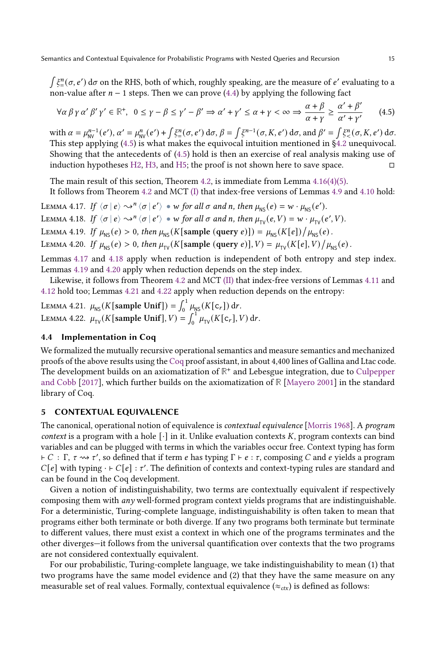$\int \xi_{=}^n(\sigma, e') d\sigma$  on the RHS, both of which, roughly speaking, are the measure of  $e'$  evaluating to a non-value after  $n - 1$  steps. Then we can prove [\(4.4\)](#page-13-3) by applying the following fact

<span id="page-14-1"></span>
$$
\forall \alpha \beta \gamma \alpha' \beta' \gamma' \in \mathbb{R}^+, \ 0 \le \gamma - \beta \le \gamma' - \beta' \Rightarrow \alpha' + \gamma' \le \alpha + \gamma < \infty \Rightarrow \frac{\alpha + \beta}{\alpha + \gamma} \ge \frac{\alpha' + \beta'}{\alpha' + \gamma'} \tag{4.5}
$$

with  $\alpha = \mu_{\text{NV}}^{n-1}(e'), \alpha' = \mu_{\text{NV}}^n(e') + \int \xi_{\text{m}}^n(\sigma, e') d\sigma, \beta = \int \xi^{n-1}(\sigma, K, e') d\sigma, \text{ and } \beta' = \int \xi_{\text{m}}^n(\sigma, K, e') d\sigma.$ This step applying [\(4.5\)](#page-14-1) is what makes the equivocal intuition mentioned in [§4.2](#page-9-0) unequivocal. Showing that the antecedents of [\(4.5\)](#page-14-1) hold is then an exercise of real analysis making use of induction hypotheses [H2,](#page-12-8) [H3,](#page-12-9) and [H5;](#page-12-11) the proof is not shown here to save space.  $□$ 

The main result of this section, Theorem [4.2,](#page-11-0) is immediate from Lemma  $4.16(4)(5)$  $4.16(4)(5)$  $4.16(4)(5)$ .

It follows from Theorem [4.2](#page-11-0) and MCT [\(I\)](#page-6-3) that index-free versions of Lemmas [4.9](#page-11-2) and [4.10](#page-11-4) hold:

<span id="page-14-4"></span><span id="page-14-3"></span><span id="page-14-2"></span>LEMMA 4.17. If  $\langle \sigma | e \rangle \leadsto^n \langle \sigma | e' \rangle \bullet w$  for all  $\sigma$  and n, then  $\mu_{\text{NS}}(e) = w \cdot \mu_{\text{NS}}(e').$ LEMMA 4.18. If  $\langle \sigma | e \rangle \leadsto^n \langle \sigma | e' \rangle * w$  for all  $\sigma$  and n, then  $\mu_{TV}(e, V) = w \cdot \mu_{TV}(e', V)$ . LEMMA 4.19. If  $\mu_{\text{NS}}(e) > 0$ , then  $\mu_{\text{NS}}(K[\text{sample (query } e)]) = \mu_{\text{NS}}(K[e])/\mu_{\text{NS}}(e)$ . LEMMA 4.20. If  $\mu_{\text{NS}}(e) > 0$ , then  $\mu_{\text{TV}}(K[\text{sample (query } e)], V) = \mu_{\text{TV}}(K[e], V) / \mu_{\text{NS}}(e)$ .

<span id="page-14-5"></span>Lemmas [4.17](#page-14-2) and [4.18](#page-14-3) apply when reduction is independent of both entropy and step index. Lemmas [4.19](#page-14-4) and [4.20](#page-14-5) apply when reduction depends on the step index.

Likewise, it follows from Theorem [4.2](#page-11-0) and MCT [\(II\)](#page-6-4) that index-free versions of Lemmas [4.11](#page-11-5) and [4.12](#page-11-3) hold too; Lemmas [4.21](#page-14-6) and [4.22](#page-14-7) apply when reduction depends on the entropy:

<span id="page-14-7"></span><span id="page-14-6"></span>LEMMA 4.21.  $\mu_{\text{NS}}(K[\text{sample Unif}]) = \int_0^1 \mu_{\text{NS}}(K[\text{c}_r]) dr$ . LEMMA 4.22.  $\mu_{\text{TV}}(K[\text{sample Unif}], V) = \int_0^1 \mu_{\text{TV}}(K[c_r], V) dr$ .

# <span id="page-14-10"></span>4.4 Implementation in Coq

We formalized the mutually recursive operational semantics and measure semantics and mechanized proofs of the above results using the [Coq](#page-27-6) proof assistant, in about 4,400 lines of Gallina and Ltac code. The development builds on an axiomatization of **R** + and Lebesgue integration, due to [Culpepper](#page-27-1) [and Cobb](#page-27-1) [\[2017\]](#page-27-1), which further builds on the axiomatization of **R** [\[Mayero](#page-28-10) [2001\]](#page-28-10) in the standard library of Coq.

# <span id="page-14-0"></span>5 CONTEXTUAL EQUIVALENCE

The canonical, operational notion of equivalence is contextual equivalence [\[Morris](#page-28-6) [1968\]](#page-28-6). A program context is a program with a hole  $\lceil \cdot \rceil$  in it. Unlike evaluation contexts K, program contexts can bind variables and can be plugged with terms in which the variables occur free. Context typing has form  $\vdash C : \Gamma, \tau \leadsto \tau'$ , so defined that if term  $e$  has typing  $\Gamma \vdash e : \tau$ , composing  $C$  and  $e$  yields a program  $C[e]$  with typing · ⊢  $C[e]$  :  $\tau'$ . The definition of contexts and context-typing rules are standard and can be found in the Coq development.

Given a notion of indistinguishability, two terms are contextually equivalent if respectively composing them with any well-formed program context yields programs that are indistinguishable. For a deterministic, Turing-complete language, indistinguishability is often taken to mean that programs either both terminate or both diverge. If any two programs both terminate but terminate to different values, there must exist a context in which one of the programs terminates and the other diverges—it follows from the universal quantification over contexts that the two programs are not considered contextually equivalent.

<span id="page-14-9"></span><span id="page-14-8"></span>For our probabilistic, Turing-complete language, we take indistinguishability to mean (1) that two programs have the same model evidence and (2) that they have the same measure on any measurable set of real values. Formally, contextual equivalence ( $\approx_{ctx}$ ) is defined as follows: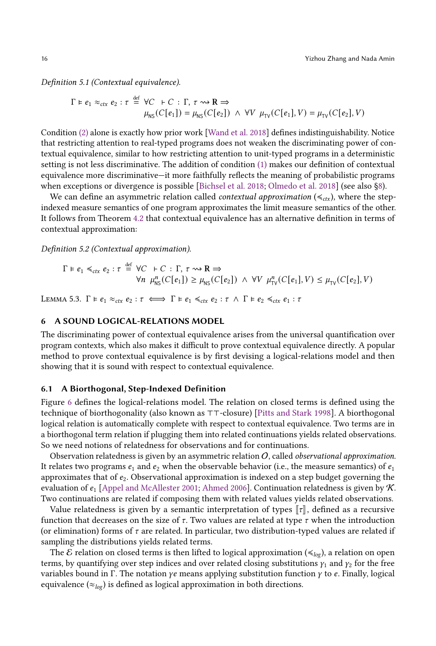Definition 5.1 (Contextual equivalence).

$$
\Gamma \models e_1 \approx_{ctx} e_2 : \tau \stackrel{\text{def}}{=} \forall C + C : \Gamma, \tau \rightsquigarrow \mathbf{R} \Rightarrow
$$
  

$$
\mu_{\text{NS}}(C[e_1]) = \mu_{\text{NS}}(C[e_2]) \land \forall V \mu_{\text{TV}}(C[e_1], V) = \mu_{\text{TV}}(C[e_2], V)
$$

Condition [\(2\)](#page-14-8) alone is exactly how prior work [\[Wand et al.](#page-28-3) [2018\]](#page-28-3) defines indistinguishability. Notice that restricting attention to real-typed programs does not weaken the discriminating power of contextual equivalence, similar to how restricting attention to unit-typed programs in a deterministic setting is not less discriminative. The addition of condition [\(1\)](#page-14-9) makes our definition of contextual equivalence more discriminative—it more faithfully reflects the meaning of probabilistic programs when exceptions or divergence is possible [\[Bichsel et al.](#page-27-8) [2018;](#page-27-8) [Olmedo et al.](#page-28-11) [2018\]](#page-28-11) (see also [§8\)](#page-23-0).

We can define an asymmetric relation called *contextual approximation* ( $\leq_{\text{ctx}}$ ), where the stepindexed measure semantics of one program approximates the limit measure semantics of the other. It follows from Theorem [4.2](#page-11-0) that contextual equivalence has an alternative definition in terms of contextual approximation:

Definition 5.2 (Contextual approximation).

$$
\Gamma \models e_1 \le_{\text{ctx}} e_2 : \tau \stackrel{\text{def}}{=} \forall C \quad \vdash C : \Gamma, \ \tau \leadsto \mathbf{R} \Rightarrow \forall n \ \mu_{\text{NS}}^n(C[e_1]) \ge \mu_{\text{NS}}(C[e_2]) \ \land \ \forall V \ \mu_{\text{TV}}^n(C[e_1], V) \le \mu_{\text{TV}}(C[e_2], V)
$$

<span id="page-15-1"></span>LEMMA 5.3.  $\Gamma \models e_1 \approx_{\text{ctx}} e_2 : \tau \iff \Gamma \models e_1 \preccurlyeq_{\text{ctx}} e_2 : \tau \land \Gamma \models e_2 \preccurlyeq_{\text{ctx}} e_1 : \tau$ 

## <span id="page-15-0"></span>6 A SOUND LOGICAL-RELATIONS MODEL

The discriminating power of contextual equivalence arises from the universal quantification over program contexts, which also makes it difficult to prove contextual equivalence directly. A popular method to prove contextual equivalence is by first devising a logical-relations model and then showing that it is sound with respect to contextual equivalence.

#### 6.1 A Biorthogonal, Step-Indexed Definition

Figure [6](#page-16-0) defines the logical-relations model. The relation on closed terms is defined using the technique of biorthogonality (also known as ⊤⊤-closure) [\[Pitts and Stark](#page-28-12) [1998\]](#page-28-12). A biorthogonal logical relation is automatically complete with respect to contextual equivalence. Two terms are in a biorthogonal term relation if plugging them into related continuations yields related observations. So we need notions of relatedness for observations and for continuations.

Observation relatedness is given by an asymmetric relation  $O$ , called *observational approximation*. It relates two programs  $e_1$  and  $e_2$  when the observable behavior (i.e., the measure semantics) of  $e_1$ approximates that of  $e_2$ . Observational approximation is indexed on a step budget governing the evaluation of  $e_1$  [\[Appel and McAllester](#page-27-9) [2001;](#page-27-9) [Ahmed](#page-27-10) [2006\]](#page-27-10). Continuation relatedness is given by  $\mathcal K$ . Two continuations are related if composing them with related values yields related observations.

Value relatedness is given by a semantic interpretation of types  $\llbracket \tau \rrbracket$ , defined as a recursive function that decreases on the size of  $\tau$ . Two values are related at type  $\tau$  when the introduction (or elimination) forms of  $\tau$  are related. In particular, two distribution-typed values are related if sampling the distributions yields related terms.

The E relation on closed terms is then lifted to logical approximation ( $\leq_{log}$ ), a relation on open terms, by quantifying over step indices and over related closing substitutions  $\gamma_1$  and  $\gamma_2$  for the free variables bound in Γ. The notation  $\gamma e$  means applying substitution function  $\gamma$  to  $e$ . Finally, logical equivalence ( $\approx_{log}$ ) is defined as logical approximation in both directions.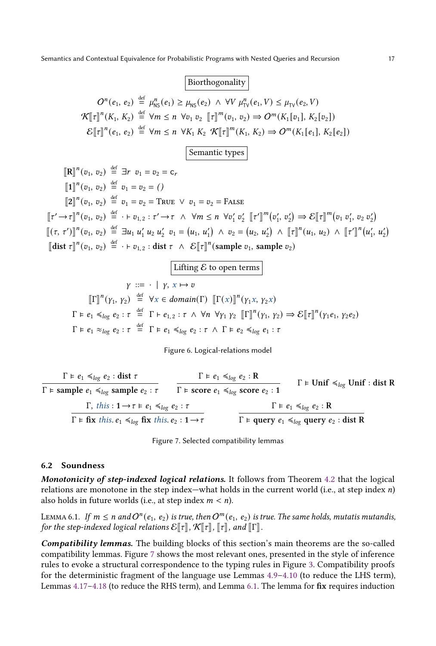# |Biorthogonality |

<span id="page-16-0"></span> $O^{n}(e_1, e_2) \stackrel{\text{def}}{=} \mu_{\text{NS}}^n(e_1) \ge \mu_{\text{NS}}(e_2) \land \forall V \mu_{\text{TV}}^n(e_1, V) \le \mu_{\text{TV}}(e_2, V)$  $\mathcal{K}[[\tau]]^n(K_1, K_2) \stackrel{\text{def}}{=} \forall m \le n \; \forall v_1 \; v_2 \; [\![\tau]\!]^m(v_1, v_2) \Rightarrow O^m(K_1[v_1], K_2[v_2])$  $\mathcal{E}[\![\tau]\!]^n(e_1, e_2) \stackrel{\text{def}}{=} \forall m \le n \ \forall K_1 \ K_2 \ \mathcal{K}[\![\tau]\!]^m(K_1, K_2) \Rightarrow O^m(K_1[e_1], K_2[e_2])$ 

Semantic types

$$
\begin{aligned}\n\llbracket \mathbf{R} \rrbracket^n (v_1, v_2) & \stackrel{\text{def}}{=} \exists r \ v_1 = v_2 = c_r \\
\llbracket 1 \rrbracket^n (v_1, v_2) & \stackrel{\text{def}}{=} v_1 = v_2 = () \\
\llbracket 2 \rrbracket^n (v_1, v_2) & \stackrel{\text{def}}{=} v_1 = v_2 = \text{TRUE} \lor v_1 = v_2 = \text{FALSE} \\
\llbracket \tau' \rightarrow \tau \rrbracket^n (v_1, v_2) & \stackrel{\text{def}}{=} \cdot \vdash v_{1,2} : \tau' \rightarrow \tau \land \forall m \le n \ \forall v'_1 \ v'_2 \ \llbracket \tau' \rrbracket^m (v'_1, v'_2) \Rightarrow \mathcal{E} \llbracket \tau \rrbracket^m (v_1, v'_1, v_2, v'_2) \\
\llbracket (\tau, \tau') \rrbracket^n (v_1, v_2) & \stackrel{\text{def}}{=} \exists u_1 \ u'_1 \ u_2 \ u'_2 \ v_1 = (u_1, u'_1) \land v_2 = (u_2, u'_2) \land \llbracket \tau \rrbracket^n (u_1, u_2) \land \llbracket \tau' \rrbracket^n (u'_1, u'_2) \\
\llbracket \text{dist } \tau \rrbracket^n (v_1, v_2) & \stackrel{\text{def}}{=} \cdot \vdash v_{1,2} : \text{dist } \tau \land \mathcal{E} \llbracket \tau \rrbracket^n (\text{sample } v_1, \text{sample } v_2)\n\end{aligned}
$$

$$
\boxed{\text{Lifting } \mathcal{E} \text{ to open terms}}
$$
\n
$$
\gamma ::= \cdot \mid \gamma, \ x \mapsto v
$$
\n
$$
\llbracket \Gamma \rrbracket^n(\gamma_1, \gamma_2) \stackrel{\text{def}}{=} \forall x \in domain(\Gamma) \ \llbracket \Gamma(x) \rrbracket^n(\gamma_1, \gamma_2 x)
$$
\n
$$
\Gamma \models e_1 \preceq_{\log} e_2 : \tau \stackrel{\text{def}}{=} \Gamma \models e_{1,2} : \tau \ \wedge \ \forall n \ \forall \gamma_1 \ \gamma_2 \ \llbracket \Gamma \rrbracket^n(\gamma_1, \gamma_2) \Rightarrow \mathcal{E} \llbracket \tau \rrbracket^n(\gamma_1, \gamma_2 e_2)
$$
\n
$$
\Gamma \models e_1 \approx_{\log} e_2 : \tau \ \wedge \ \Gamma \models e_2 \preceq_{\log} e_1 : \tau
$$

Figure 6. Logical-relations model

<span id="page-16-1"></span>
$$
\frac{\Gamma \models e_1 \preccurlyeq_{log} e_2 : \text{dist } \tau}{\Gamma \models \text{sample } e_1 \preccurlyeq_{log} \text{sample } e_2 : \tau} \qquad \frac{\Gamma \models e_1 \preccurlyeq_{log} e_2 : R}{\Gamma \models \text{score } e_1 \preccurlyeq_{log} \text{score } e_2 : 1} \qquad \qquad \Gamma \models \text{Unif } \preccurlyeq_{log} \text{Unif} : \text{dist } R
$$
\n
$$
\frac{\Gamma, \text{ this} : 1 \rightarrow \tau \models e_1 \preccurlyeq_{log} e_2 : \tau}{\Gamma \models \text{fix } \text{this} . e_1 \preccurlyeq_{log} \text{fix } \text{this} . e_2 : 1 \rightarrow \tau} \qquad \qquad \frac{\Gamma \models e_1 \preccurlyeq_{log} e_2 : R}{\Gamma \models \text{query } e_1 \preccurlyeq_{log} \text{query } e_2 : \text{dist } R}
$$

Figure 7. Selected compatibility lemmas

#### 6.2 Soundness

Monotonicity of step-indexed logical relations. It follows from Theorem [4.2](#page-11-0) that the logical relations are monotone in the step index—what holds in the current world (i.e., at step index  $n$ ) also holds in future worlds (i.e., at step index  $m < n$ ).

<span id="page-16-2"></span>LEMMA 6.1. If  $m\leq n$  and  $O^n(e_1,\,e_2)$  is true, then  $O^m(e_1,\,e_2)$  is true. The same holds, mutatis mutandis, for the step-indexed logical relations  $\mathcal{E}[\![\tau]\!]$ ,  $\mathcal{K}[\![\tau]\!]$ ,  $\llbracket \tau \rrbracket$ , and  $\llbracket \Gamma \rrbracket$ .

<span id="page-16-3"></span>Compatibility lemmas. The building blocks of this section's main theorems are the so-called compatibility lemmas. Figure [7](#page-16-1) shows the most relevant ones, presented in the style of inference rules to evoke a structural correspondence to the typing rules in Figure [3.](#page-5-0) Compatibility proofs for the deterministic fragment of the language use Lemmas [4.9–](#page-11-2)[4.10](#page-11-4) (to reduce the LHS term), Lemmas [4.17–](#page-14-2)[4.18](#page-14-3) (to reduce the RHS term), and Lemma [6.1.](#page-16-2) The lemma for fix requires induction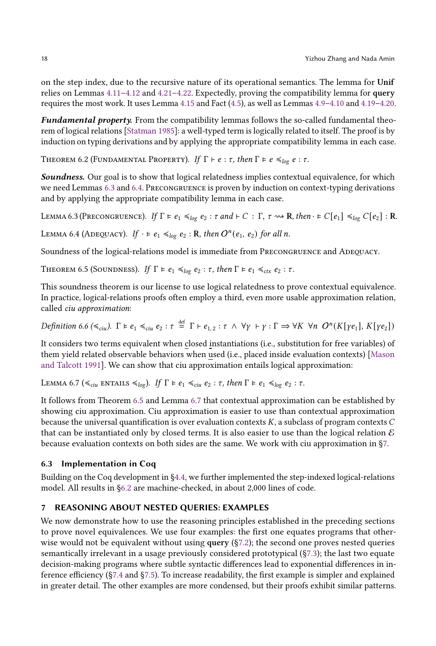on the step index, due to the recursive nature of its operational semantics. The lemma for Unif relies on Lemmas [4.11–](#page-11-5)[4.12](#page-11-3) and [4.21](#page-14-6)[–4.22.](#page-14-7) Expectedly, proving the compatibility lemma for query requires the most work. It uses Lemma [4.15](#page-11-8) and Fact [\(4.5\)](#page-14-1), as well as Lemmas [4.9–](#page-11-2)[4.10](#page-11-4) and [4.19](#page-14-4)[–4.20.](#page-14-5)

Fundamental property. From the compatibility lemmas follows the so-called fundamental theorem of logical relations [\[Statman](#page-28-13) [1985\]](#page-28-13): a well-typed term is logically related to itself. The proof is by induction on typing derivations and by applying the appropriate compatibility lemma in each case.

THEOREM 6.2 (FUNDAMENTAL PROPERTY). If  $\Gamma \vdash e : \tau$ , then  $\Gamma \models e \preccurlyeq_{log} e : \tau$ .

Soundness. Our goal is to show that logical relatedness implies contextual equivalence, for which we need Lemmas [6.3](#page-17-1) and [6.4.](#page-17-2) Precongruence is proven by induction on context-typing derivations and by applying the appropriate compatibility lemma in each case.

<span id="page-17-1"></span>LEMMA 6.3 (PRECONGRUENCE). If  $\Gamma \models e_1 \preccurlyeq_{log} e_2 : \tau$  and  $\vdash C : \Gamma, \tau \rightsquigarrow \mathbf{R}$ , then  $\cdot \models C[e_1] \preccurlyeq_{log} C[e_2] : \mathbf{R}$ .

<span id="page-17-2"></span>LEMMA 6.4 (ADEQUACY). If  $\cdot \models e_1 \preccurlyeq_{log} e_2 : \mathbf{R}$ , then  $O^n(e_1, e_2)$  for all n.

Soundness of the logical-relations model is immediate from PRECONGRUENCE and ADEQUACY.

<span id="page-17-3"></span>THEOREM 6.5 (SOUNDNESS). If  $\Gamma \models e_1 \preccurlyeq_{log} e_2 : \tau$ , then  $\Gamma \models e_1 \preccurlyeq_{ctx} e_2 : \tau$ .

This soundness theorem is our license to use logical relatedness to prove contextual equivalence. In practice, logical-relations proofs often employ a third, even more usable approximation relation, called ciu approximation:

<span id="page-17-5"></span>Definition 6.6 ( $\leq_{ciu}$ ).  $\Gamma \models e_1 \leq_{ciu} e_2 : \tau \stackrel{\text{def}}{=} \Gamma \vdash e_{1,2} : \tau \wedge \forall \gamma \vdash \gamma : \Gamma \Rightarrow \forall K \forall n \ O^n(K[\gamma e_1], K[\gamma e_2])$ 

It considers two terms equivalent when closed instantiations (i.e., substitution for free variables) of them yield related observable behaviors when used (i.e., placed inside evaluation contexts) [\[Mason](#page-27-11) [and Talcott](#page-27-11) [1991\]](#page-27-11). We can show that ciu approximation entails logical approximation:

<span id="page-17-4"></span>LEMMA 6.7 ( $\leq_{ciu}$  entails  $\leq_{log}$ ). If  $\Gamma \models e_1 \leq_{ciu} e_2 : \tau$ , then  $\Gamma \models e_1 \leq_{log} e_2 : \tau$ .

It follows from Theorem [6.5](#page-17-3) and Lemma [6.7](#page-17-4) that contextual approximation can be established by showing ciu approximation. Ciu approximation is easier to use than contextual approximation because the universal quantification is over evaluation contexts  $K$ , a subclass of program contexts  $C$ that can be instantiated only by closed terms. It is also easier to use than the logical relation  $\mathcal E$ because evaluation contexts on both sides are the same. We work with ciu approximation in [§7.](#page-17-0)

## 6.3 Implementation in Coq

Building on the Coq development in [§4.4,](#page-14-10) we further implemented the step-indexed logical-relations model. All results in [§6.2](#page-16-3) are machine-checked, in about 2,000 lines of code.

## <span id="page-17-0"></span>7 REASONING ABOUT NESTED QUERIES: EXAMPLES

We now demonstrate how to use the reasoning principles established in the preceding sections to prove novel equivalences. We use four examples: the first one equates programs that otherwise would not be equivalent without using query  $(S7.2)$ ; the second one proves nested queries semantically irrelevant in a usage previously considered prototypical ([§7.3\)](#page-20-0); the last two equate decision-making programs where subtle syntactic differences lead to exponential differences in inference efficiency ([§7.4](#page-21-0) and [§7.5\)](#page-22-1). To increase readability, the first example is simpler and explained in greater detail. The other examples are more condensed, but their proofs exhibit similar patterns.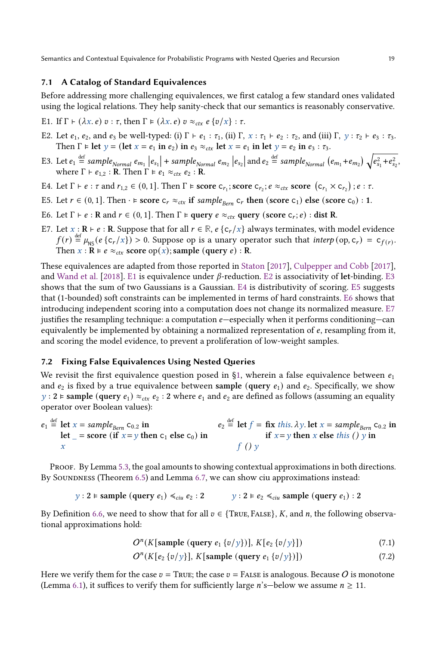# <span id="page-18-10"></span>7.1 A Catalog of Standard Equivalences

Before addressing more challenging equivalences, we first catalog a few standard ones validated using the logical relations. They help sanity-check that our semantics is reasonably conservative.

- <span id="page-18-1"></span>E1. If  $\Gamma \vdash (\lambda x. e) v : \tau$ , then  $\Gamma \models (\lambda x. e) v \approx_{\text{ctx}} e \{v/x\} : \tau$ .
- <span id="page-18-2"></span>E2. Let  $e_1$ ,  $e_2$ , and  $e_3$  be well-typed: (i)  $\Gamma \vdash e_1 : \tau_1$ , (ii)  $\Gamma$ ,  $x : \tau_1 \vdash e_2 : \tau_2$ , and (iii)  $\Gamma$ ,  $y : \tau_2 \vdash e_3 : \tau_3$ . Then  $\Gamma \models$  let  $y =$  (let  $x = e_1$  in  $e_2$ ) in  $e_3 \approx_{\text{ctx}}$  let  $x = e_1$  in let  $y = e_2$  in  $e_3 : \tau_3$ .
- <span id="page-18-3"></span>E3. Let  $e_1 \stackrel{\text{def}}{=} sample_{Normal} e_{m_1} | e_{s_1} | + sample_{Normal} e_{m_2} | e_{s_2} |$  and  $e_2 \stackrel{\text{def}}{=} sample_{Normal} (e_{m_1} + e_{m_2}) \sqrt{e_{s_1}^2 + e_{s_2}^2}$ , where  $\Gamma \vdash e_{1,2} : \mathbf{R}$ . Then  $\Gamma \models e_1 \approx_{\text{ctx}} e_2 : \mathbf{R}$ .
- <span id="page-18-4"></span>E4. Let  $\Gamma \vdash e : \tau$  and  $r_{1,2} \in (0,1]$ . Then  $\Gamma \models$  score  $\mathsf{c}_{r_1}$ ; score  $\mathsf{c}_{r_2}$ ;  $e \approx_{\text{ctx}}$  score  $(\mathsf{c}_{r_1} \times \mathsf{c}_{r_2})$ ;  $e : \tau$ .
- <span id="page-18-5"></span>E5. Let  $r \in (0, 1]$ . Then  $\cdot \models$  score  $c_r \approx_{ctx}$  if sample<sub>Bern</sub>  $c_r$  then (score  $c_1$ ) else (score  $c_0$ ) : 1.
- <span id="page-18-6"></span>E6. Let Γ ⊢ *e* : **R** and  $r \in (0, 1]$ . Then Γ <mark>⊨ query</mark>  $e \approx_{ctx}$  query (score c<sub>r</sub>; *e*) : dist **R**.
- <span id="page-18-7"></span>E7. Let  $x : \mathbf{R} \vdash e : \mathbf{R}$ . Suppose that for all  $r \in \mathbb{R}$ ,  $e \{c_r / x\}$  always terminates, with model evidence  $f(r) \stackrel{\text{def}}{=} \mu_{\text{NS}}(e \{c_r/x\}) > 0$ . Suppose op is a unary operator such that interp (op, c<sub>r</sub>) = c<sub>f(r)</sub>. Then  $x : \mathbf{R} \models e \approx_{\text{ctx}} \text{score op}(x)$ ; sample (query  $e) : \mathbf{R}$ .

These equivalences are adapted from those reported in [Staton](#page-28-14) [\[2017\]](#page-28-14), [Culpepper and Cobb](#page-27-1) [\[2017\]](#page-27-1), and [Wand et al.](#page-28-3) [\[2018\]](#page-28-3). [E1](#page-18-1) is equivalence under  $\beta$ -reduction. [E2](#page-18-2) is associativity of let-binding. [E3](#page-18-3) shows that the sum of two Gaussians is a Gaussian. [E4](#page-18-4) is distributivity of scoring. [E5](#page-18-5) suggests that (1-bounded) soft constraints can be implemented in terms of hard constraints. [E6](#page-18-6) shows that introducing independent scoring into a computation does not change its normalized measure. [E7](#page-18-7) justifies the resampling technique: a computation  $e$ —especially when it performs conditioning—can equivalently be implemented by obtaining a normalized representation of  $e$ , resampling from it, and scoring the model evidence, to prevent a proliferation of low-weight samples.

#### <span id="page-18-0"></span>7.2 Fixing False Equivalences Using Nested Queries

We revisit the first equivalence question posed in [§1,](#page-0-0) wherein a false equivalence between  $e_1$ and  $e_2$  is fixed by a true equivalence between sample (query  $e_1$ ) and  $e_2$ . Specifically, we show y : 2 ⊨ sample (query  $e_1$ ) ≈<sub>ctx</sub>  $e_2$  : 2 where  $e_1$  and  $e_2$  are defined as follows (assuming an equality operator over Boolean values):

$$
e_1 \stackrel{\text{def}}{=} \text{let } x = sample_{Bern} \text{ } c_{0.2} \text{ in}
$$
\n
$$
e_2 \stackrel{\text{def}}{=} \text{let } f = \text{ fix } this. \lambda y. \text{ let } x = sample_{Bern} \text{ } c_{0.2} \text{ in}
$$
\n
$$
x = \text{score (if } x = y \text{ then } c_1 \text{ else } c_0) \text{ in}
$$
\n
$$
f\left(\frac{dy}{dx}\right) = \text{time x else } this \text{ } c_0 \text{ in}
$$

Proof. By Lemma [5.3,](#page-15-1) the goal amounts to showing contextual approximations in both directions. By Soundness (Theorem [6.5\)](#page-17-3) and Lemma [6.7,](#page-17-4) we can show ciu approximations instead:

$$
y: 2 \vDash \text{sample } (query \ e_1) \leq_{ciu} e_2 : 2 \qquad y: 2 \vDash e_2 \leq_{ciu} \text{sample } (query \ e_1) : 2
$$

By Definition [6.6,](#page-17-5) we need to show that for all  $v \in \{\text{True}, \text{False}\}, K$ , and n, the following observational approximations hold:

<span id="page-18-9"></span><span id="page-18-8"></span>
$$
O^{n}(K[\text{sample }(\text{query } e_1 \{v/y\})], K[e_2 \{v/y\}])
$$
\n(7.1)

$$
On(K[e2 {v/y}], K[\text{sample (query } e1 {v/y})])
$$
\n(7.2)

Here we verify them for the case  $v = \text{True}$ ; the case  $v = \text{False}$  is analogous. Because O is monotone (Lemma [6.1\)](#page-16-2), it suffices to verify them for sufficiently large  $n$ 's—below we assume  $n \ge 11$ .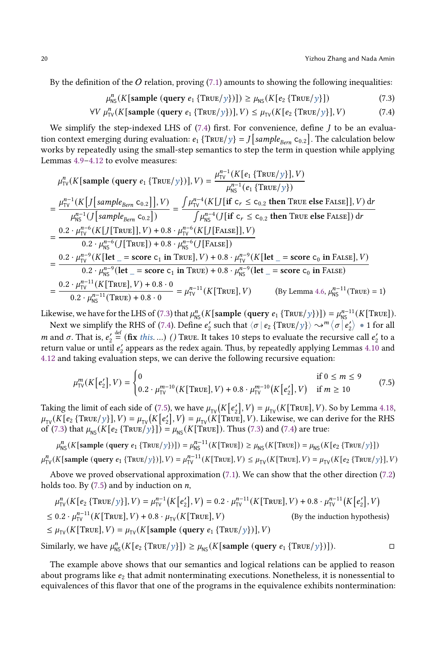By the definition of the  $O$  relation, proving  $(7.1)$  amounts to showing the following inequalities:

<span id="page-19-1"></span><span id="page-19-0"></span>
$$
\mu_{\text{NS}}^n(K[\text{sample (query } e_1 \{ \text{TRUE}/y \})]) \ge \mu_{\text{NS}}(K[e_2 \{ \text{TRUE}/y \}]) \tag{7.3}
$$

$$
\forall V \mu_{\text{TV}}^n(K[\text{sample } (query e_1 \{ \text{TRUE}/y \})], V) \leq \mu_{\text{TV}}(K[e_2 \{ \text{TRUE}/y \}], V) \tag{7.4}
$$

We simplify the step-indexed LHS of  $(7.4)$  first. For convenience, define  $J$  to be an evaluation context emerging during evaluation:  $e_1$  {True/y} =  $J$ [sample<sub>Bern</sub> c<sub>0.2</sub>]. The calculation below works by repeatedly using the small-step semantics to step the term in question while applying Lemmas [4.9–](#page-11-2)[4.12](#page-11-3) to evolve measures:

$$
\mu_{\text{TV}}^n(K[\text{sample (query } e_1 \{ \text{TRUE}/y \})], V) = \frac{\mu_{\text{TV}}^{n-1}(K[e_1 \{ \text{TRUE}/y \}], V)}{\mu_{\text{NS}}^{n-1}(e_1 \{ \text{TRUE}/y \})}
$$
\n
$$
= \frac{\mu_{\text{TV}}^{n-1}(K[f[\text{sample}_{\text{Bern}} C_{0.2}]], V)}{\mu_{\text{NS}}^{n-1}(J[\text{sample}_{\text{Bern}} C_{0.2}])} = \frac{\int \mu_{\text{TV}}^{n-4}(K[f[\text{if } c_r \le c_{0.2} \text{ then } \text{TRUE } \text{else } \text{FALSE}]], V) dr}{\int \mu_{\text{NS}}^{n-4}(J[\text{if } c_r \le c_{0.2} \text{ then } \text{TRUE } \text{else } \text{FALSE}]) dr}
$$
\n
$$
= \frac{0.2 \cdot \mu_{\text{TV}}^{n-6}(K[J[\text{TRUE}]], V) + 0.8 \cdot \mu_{\text{TV}}^{n-6}(K[J[\text{False}]], V)}{\int \mu_{\text{NS}}^{n-6}(J[\text{False}]), V)}
$$
\n
$$
= \frac{0.2 \cdot \mu_{\text{TV}}^{n-9}(K[\text{let } = \text{score } c_1 \text{ in } \text{TRUE}], V) + 0.8 \cdot \mu_{\text{TV}}^{n-9}(K[\text{let } = \text{score } c_0 \text{ in } \text{False}], V)}{0.2 \cdot \mu_{\text{NS}}^{n-9}(\text{let } = \text{score } c_1 \text{ in } \text{TRUE}) + 0.8 \cdot \mu_{\text{NS}}^{n-9}(\text{let } = \text{score } c_0 \text{ in } \text{False})}
$$
\n
$$
= \frac{0.2 \cdot \mu_{\text{TV}}^{n-11}(K[\text{True}], V) + 0.8 \cdot 0}{0.2 \cdot \mu_{\text{NS}}^{n-11}(\text{True}), V + 0.8 \cdot 0} = \mu_{\text{TV}}^{n-11}(K[\text{True}], V) \qquad \text{(By Lemma 4.6, } \mu_{\text{NS}}^{n-11}(\text{True}) = 1)
$$

Likewise, we have for the LHS of [\(7.3\)](#page-19-1) that  $\mu_{\text{NS}}^n(K[\text{sample (query } e_1 \{ \text{True}/y \})]) = \mu_{\text{NS}}^{n-11}(K[\text{True}]).$ 

Next we simplify the RHS of [\(7.4\)](#page-19-0). Define  $e'_2$  such that  $\langle \sigma | e_2 \{\text{True}/y \} \rangle \sim^m \langle \sigma | e'_2 \rangle = 1$  for all *m* and  $\sigma$ . That is,  $e'_2 \stackrel{\text{def}}{=} (\textbf{fix } this...)$  () True. It takes 10 steps to evaluate the recursive call  $e'_2$  to a return value or until  $e_2'$  appears as the redex again. Thus, by repeatedly applying Lemmas [4.10](#page-11-4) and [4.12](#page-11-3) and taking evaluation steps, we can derive the following recursive equation:

<span id="page-19-2"></span>
$$
\mu_{\text{TV}}^m(K[e_2'], V) = \begin{cases} 0 & \text{if } 0 \le m \le 9\\ 0.2 \cdot \mu_{\text{TV}}^{m-10}(K[\text{True}], V) + 0.8 \cdot \mu_{\text{TV}}^{m-10}(K[e_2'], V) & \text{if } m \ge 10 \end{cases} \tag{7.5}
$$

Taking the limit of each side of [\(7.5\)](#page-19-2), we have  $\mu_{TV}(K[e_2'], V) = \mu_{TV}(K[\text{True}], V)$ . So by Lemma [4.18,](#page-14-3)  $\mu_{\text{TV}}(K[e_2\{\text{True}/y\}], V) = \mu_{\text{TV}}(K[e'_2], V) = \mu_{\text{TV}}(K[\text{True}], V)$ . Likewise, we can derive for the RHS of [\(7.3\)](#page-19-1) that  $\mu_{NS}(K[e_2 \{TRUE/y\}]) = \mu_{NS}(K[TRUE])$ . Thus (7.3) and [\(7.4\)](#page-19-0) are true:

 $\mu_{\text{NS}}^n(K[\text{sample (query } e_1 \{\text{TRUE}/y\})]) = \mu_{\text{NS}}^{n-11}(K[\text{True}]) \ge \mu_{\text{NS}}(K[\text{True}]) = \mu_{\text{NS}}(K[e_2 \{\text{True}/y\}])$  $\mu_{\text{TV}}^n(K[\text{sample (query } e_1 \{\text{True}/y\})], V) = \mu_{\text{TV}}^{n-11}(K[\text{True}], V) \leq \mu_{\text{TV}}(K[\text{True}], V) = \mu_{\text{TV}}(K[e_2 \{\text{True}/y\}], V)$ 

Above we proved observational approximation [\(7.1\)](#page-18-8). We can show that the other direction [\(7.2\)](#page-18-9) holds too. By  $(7.5)$  and by induction on *n*,

$$
\mu_{\text{TV}}^n(K[e_2 \{\text{TRUE}/y\}], V) = \mu_{\text{TV}}^{n-1}(K[e_2'], V) = 0.2 \cdot \mu_{\text{TV}}^{n-11}(K[\text{TRUE}], V) + 0.8 \cdot \mu_{\text{TV}}^{n-11}(K[e_2'], V)
$$
  
\n
$$
\leq 0.2 \cdot \mu_{\text{TV}}^{n-11}(K[\text{True}], V) + 0.8 \cdot \mu_{\text{TV}}(K[\text{True}], V) \qquad \text{(By the induction hypothesis)}
$$
  
\n
$$
\leq \mu_{\text{TV}}(K[\text{True}], V) = \mu_{\text{TV}}(K[\text{sample (query } e_1 \{\text{True}/y\})], V)
$$

Similarly, we have  $\mu_{\text{NS}}^n(K[e_2 \{\text{True}/y\}]) \ge \mu_{\text{NS}}(K[\text{sample (query } e_1 \{\text{True}/y\})]).$ 

The example above shows that our semantics and logical relations can be applied to reason about programs like  $e_2$  that admit nonterminating executions. Nonetheless, it is nonessential to equivalences of this flavor that one of the programs in the equivalence exhibits nontermination: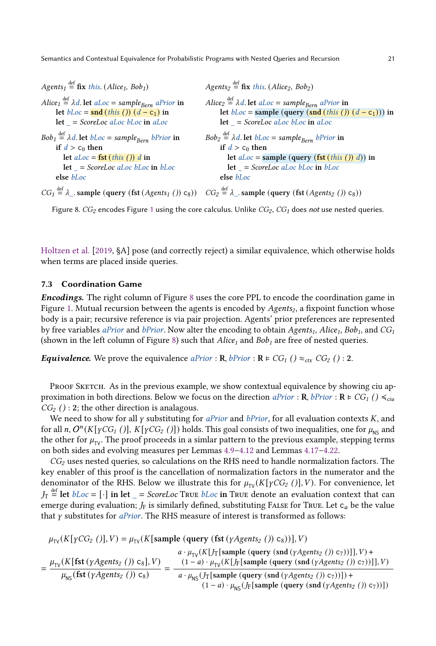<span id="page-20-1"></span>Agents<sub>1</sub>  $\stackrel{\text{def}}{=}$  **fix** this. (Alice<sub>1</sub>, Bob<sub>1</sub>) Alice<sub>1</sub>  $\stackrel{\text{def}}{=}$   $\lambda$ d. let aLoc = sample<sub>Bern</sub> aPrior in let  $bLoc = \text{snd}(this())$   $(d - c_1)$  in  $let = ScoreLoc$  aLoc bLoc in aLoc  $Bob_1 \stackrel{\text{def}}{=} \lambda d.$  let  $bLoc = sample_{Bern}$  bPrior in if  $d > c_0$  then let  $aLoc = fst$  (this ()) d in  $let = ScoreLoc$  aLoc  $bLoc$  in  $bLoc$ else bLoc  $CG_1 \stackrel{\text{def}}{=} \lambda$ <sub>-</sub> sample (query (fst (Agents<sub>1</sub> ()) c<sub>8</sub>))  $CG_2 \stackrel{\text{def}}{=} \lambda$ <sub>-</sub> sample (query (fst (Agents<sub>2</sub> ()) c<sub>8</sub>)) Agents<sub>2</sub>  $\stackrel{\text{def}}{=}$  **fix** this. (Alice<sub>2</sub>, Bob<sub>2</sub>) Alice<sub>2</sub>  $\stackrel{\text{def}}{=}$   $\lambda$ d. let aLoc = sample<sub>Bern</sub> aPrior in let  $bLoc =$  sample (query (snd (this ())  $(d - c_1)$ )) in  $let = ScoreLoc$  aLoc bLoc in aLoc  $Bob_2 \stackrel{\text{def}}{=} \lambda d.$  let  $bLoc = sample_{Bern}$  bPrior in if  $d > c_0$  then let  $aLoc = \text{sample} (\text{query} (\text{fst} (this ())) d))$  in  $let = ScoreLoc$  aLoc bLoc in bLoc else bLoc

Figure 8.  $CG_2$  encodes Figure [1](#page-1-0) using the core calculus. Unlike  $CG_2$ ,  $CG_1$  does not use nested queries.

[Holtzen et al.](#page-27-12) [\[2019,](#page-27-12) §A] pose (and correctly reject) a similar equivalence, which otherwise holds when terms are placed inside queries.

# <span id="page-20-0"></span>7.3 Coordination Game

Encodings. The right column of Figure [8](#page-20-1) uses the core PPL to encode the coordination game in Figure [1.](#page-1-0) Mutual recursion between the agents is encoded by  $Agents<sub>2</sub>$ , a fixpoint function whose body is a pair; recursive reference is via pair projection. Agents' prior preferences are represented by free variables *aPrior* and *bPrior*. Now alter the encoding to obtain Agents<sub>1</sub>, Alice<sub>1</sub>, Bob<sub>1</sub>, and CG<sub>1</sub> (shown in the left column of Figure [8\)](#page-20-1) such that  $Alice<sub>1</sub>$  and  $Bob<sub>1</sub>$  are free of nested queries.

**Equivalence.** We prove the equivalence  $aPrior : \mathbf{R}$ ,  $bPrior : \mathbf{R} \models CG_1() \approx_{ctx} CG_2() : 2$ .

PROOF SKETCH. As in the previous example, we show contextual equivalence by showing ciu approximation in both directions. Below we focus on the direction aPrior :  $\mathbf{R}$ , bPrior :  $\mathbf{R} \models CG_I() \leq_{ciu} I$  $CG<sub>2</sub>() : 2$ ; the other direction is analagous.

We need to show for all  $\gamma$  substituting for *aPrior* and *bPrior*, for all evaluation contexts  $K$ , and for all n,  $O^n(K[\gamma CG_I\;$  ()],  $K[\gamma CG_2\;$  ()]) holds. This goal consists of two inequalities, one for  $\mu_\mathsf{NS}$  and the other for  $\mu_{\text{TV}}$ . The proof proceeds in a simlar pattern to the previous example, stepping terms on both sides and evolving measures per Lemmas [4.9](#page-11-2)[–4.12](#page-11-3) and Lemmas [4.17](#page-14-2)[–4.22.](#page-14-7)

 $CG<sub>2</sub>$  uses nested queries, so calculations on the RHS need to handle normalization factors. The key enabler of this proof is the cancellation of normalization factors in the numerator and the denominator of the RHS. Below we illustrate this for  $\mu_{\text{TV}}(K[\gamma CG_2])$ , V). For convenience, let  $J_T \stackrel{\text{def}}{=}$  let  $bLoc = [\cdot]$  in let  $\_ = ScoreLoc$  True  $bLoc$  in True denote an evaluation context that can emerge during evaluation;  $J_F$  is similarly defined, substituting FALSE for True. Let  $c_a$  be the value that  $\gamma$  substitutes for *aPrior*. The RHS measure of interest is transformed as follows:

$$
\mu_{\text{TV}}(K[\gamma CG_2 ()], V) = \mu_{\text{TV}}(K[\text{sample (query (fst (yAgents2 ())) c8))}], V)
$$
\n
$$
= \frac{\mu_{\text{TV}}(K[\text{fst (yAgents2 ()) c8], V)}{ \mu_{\text{NS}}(\text{fst (yAgents2 ()) c8)}} = \frac{(1 - a) \cdot \mu_{\text{TV}}(K[\text{J}_{\text{Tr}}[\text{sample (query (snd (yAgents2 ())) c7))]], V)}{ \mu_{\text{NS}}(\text{fst (yAgents2 ()) c8)}} = \frac{(1 - a) \cdot \mu_{\text{TV}}(K[\text{J}_{\text{Tr}}[\text{sample (query (snd (yAgents2 ())) c7))]], V)}{(1 - a) \cdot \mu_{\text{NS}}(\text{J}_{\text{F}}[\text{sample (query (snd (yAgents2 ())) c7))])}} + (1 - a) \cdot \mu_{\text{NS}}(\text{J}_{\text{F}}[\text{sample (query (snd (yAgents2 ())) c7))])})
$$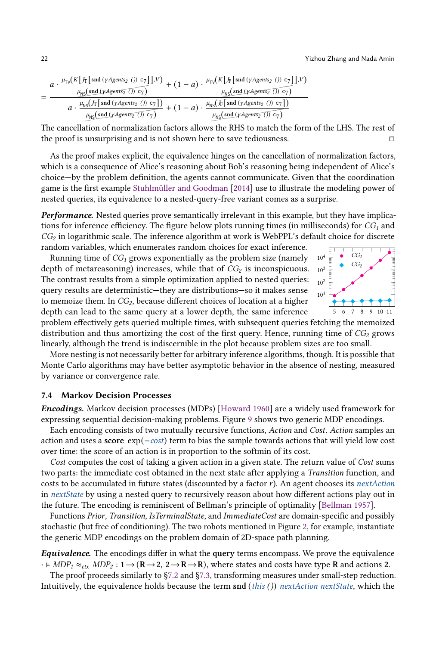$$
=\frac{a\cdot \frac{\mu_{\text{TV}}\left(K\left[\int_{\text{T}}\left[\text{snd}\left(\gamma \text{Agents}_2\right.\left()\right.\text{C}_7\right)\right],V\right)}{\mu_{\text{NS}}\left(\text{snd}\left(\gamma \text{Agents}_2\right.\left() \right.\text{C}_7\right)\right)}+\left(1-a\right)\cdot \frac{\mu_{\text{TV}}\left(K\left[\int_{\text{F}}\left[\text{snd}\left(\gamma \text{Agents}_2\right.\left()\right.\text{C}_7\right)\right],V\right)}{\mu_{\text{NS}}\left(\text{snd}\left(\gamma \text{Agents}_2\right.\left() \right.\text{C}_7\right)\right)}}{a\cdot \frac{\mu_{\text{NS}}\left(\int_{\text{F}}\left[\text{snd}\left(\gamma \text{Agents}_2\right.\left() \right.\text{C}_7\right)\right)}{\mu_{\text{NS}}\left(\text{snd}\left(\gamma \text{Agents}_2\right.\left() \right.\text{C}_7\right)\right)}+\left(1-a\right)\cdot \frac{\mu_{\text{NS}}\left(\int_{\text{F}}\left[\text{snd}\left(\gamma \text{Agents}_2\right.\left() \right.\text{C}_7\right)\right)}{\mu_{\text{NS}}\left(\text{snd}\left(\gamma \text{Agents}_2\right.\left() \right.\text{C}_7\right)}
$$

The cancellation of normalization factors allows the RHS to match the form of the LHS. The rest of the proof is unsurprising and is not shown here to save tediousness. □

As the proof makes explicit, the equivalence hinges on the cancellation of normalization factors, which is a consequence of Alice's reasoning about Bob's reasoning being independent of Alice's choice—by the problem definition, the agents cannot communicate. Given that the coordination game is the first example [Stuhlmüller and Goodman](#page-28-0) [\[2014\]](#page-28-0) use to illustrate the modeling power of nested queries, its equivalence to a nested-query-free variant comes as a surprise.

Performance. Nested queries prove semantically irrelevant in this example, but they have implications for inference efficiency. The figure below plots running times (in milliseconds) for  $CG<sub>1</sub>$  and  $CG<sub>2</sub>$  in logarithmic scale. The inference algorithm at work is WebPPL's default choice for discrete random variables, which enumerates random choices for exact inference.

Running time of  $CG_1$  grows exponentially as the problem size (namely depth of metareasoning) increases, while that of  $CG<sub>2</sub>$  is inconspicuous. The contrast results from a simple optimization applied to nested queries: query results are deterministic—they are distributions—so it makes sense to memoize them. In  $CG_2$ , because different choices of location at a higher depth can lead to the same query at a lower depth, the same inference



problem effectively gets queried multiple times, with subsequent queries fetching the memoized distribution and thus amortizing the cost of the first query. Hence, running time of  $CG_2$  grows linearly, although the trend is indiscernible in the plot because problem sizes are too small.

More nesting is not necessarily better for arbitrary inference algorithms, though. It is possible that Monte Carlo algorithms may have better asymptotic behavior in the absence of nesting, measured by variance or convergence rate.

### <span id="page-21-0"></span>7.4 Markov Decision Processes

Encodings. Markov decision processes (MDPs) [\[Howard](#page-27-13) [1960\]](#page-27-13) are a widely used framework for expressing sequential decision-making problems. Figure [9](#page-22-0) shows two generic MDP encodings.

Each encoding consists of two mutually recursive functions, Action and Cost. Action samples an action and uses a score exp(−cost) term to bias the sample towards actions that will yield low cost over time: the score of an action is in proportion to the softmin of its cost.

Cost computes the cost of taking a given action in a given state. The return value of Cost sums two parts: the immediate cost obtained in the next state after applying a Transition function, and costs to be accumulated in future states (discounted by a factor  $r$ ). An agent chooses its *nextAction* in next State by using a nested query to recursively reason about how different actions play out in the future. The encoding is reminiscent of Bellman's principle of optimality [\[Bellman](#page-27-14) [1957\]](#page-27-14).

Functions Prior, Transition, IsTerminalState, and ImmediateCost are domain-specific and possibly stochastic (but free of conditioning). The two robots mentioned in Figure [2,](#page-4-0) for example, instantiate the generic MDP encodings on the problem domain of 2D-space path planning.

Equivalence. The encodings differ in what the query terms encompass. We prove the equivalence  $\cdot \vDash MDP_1 \approx_{\text{ctx}} MDP_2 : 1 \rightarrow (R \rightarrow 2, 2 \rightarrow R \rightarrow R)$ , where states and costs have type R and actions 2.

The proof proceeds similarly to [§7.2](#page-18-0) and [§7.3,](#page-20-0) transforming measures under small-step reduction. Intuitively, the equivalence holds because the term  $\text{snd}(this())$  nextAction nextState, which the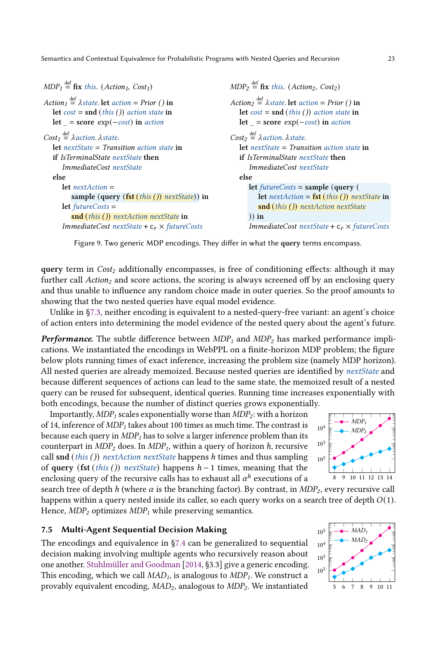```
MDP_1 \stackrel{\text{def}}{=} \textbf{fix } this. (Action<sub>1</sub>, Cost<sub>1</sub>)
Action<sub>1</sub> \stackrel{\text{def}}{=} \lambdastate. let action = Prior () in
   let cost = \text{snd} (this ()) action state inlet = score exp(-cost) in action
Cost_1 \stackrel{\text{def}}{=} \lambda action. \lambda state.let nextState = Transition action state inif IsTerminalState nextState then
       ImmediateCost nextState
   else
       let nextAction =
           sample (query (fst (this ()) nextState)) in
       let futureCosts =
           snd (this ()) nextAction nextState in
       ImmediateCost nextState + c_r \times futureCostMDP_2 \stackrel{\text{def}}{=} \textbf{fix } this. (Action<sub>2</sub>, Cost<sub>2</sub>)
                                                                               Action<sub>2</sub> \stackrel{\text{def}}{=} \lambdastate. let action = Prior () in
                                                                                  let cost = \text{snd} (this ()) action state in
                                                                                  let = score exp(-cost) in action
                                                                               Cost_2 \stackrel{\text{def}}{=} \lambda action. \lambda state.let nextState = Transition action state inif IsTerminalState nextState then
                                                                                      ImmediateCost nextState
                                                                                  else
                                                                                      let futureCosts = sample (query (
                                                                                          let nextAction = \mathbf{fst}(\mathit{this}()) nextState in
                                                                                          snd (this ()) nextAction nextState
                                                                                      )) in
                                                                                      ImmediateCost nextState + c_r \times futureCosts
```
Figure 9. Two generic MDP encodings. They differ in what the query terms encompass.

query term in  $Cost_2$  additionally encompasses, is free of conditioning effects: although it may further call  $Action<sub>2</sub>$  and score actions, the scoring is always screened off by an enclosing query and thus unable to influence any random choice made in outer queries. So the proof amounts to showing that the two nested queries have equal model evidence.

Unlike in [§7.3,](#page-20-0) neither encoding is equivalent to a nested-query-free variant: an agent's choice of action enters into determining the model evidence of the nested query about the agent's future.

**Performance.** The subtle difference between  $MDP_1$  and  $MDP_2$  has marked performance implications. We instantiated the encodings in WebPPL on a finite-horizon MDP problem; the figure below plots running times of exact inference, increasing the problem size (namely MDP horizon). All nested queries are already memoized. Because nested queries are identified by nextState and because different sequences of actions can lead to the same state, the memoized result of a nested query can be reused for subsequent, identical queries. Running time increases exponentially with both encodings, because the number of distinct queries grows exponentially.

Importantly,  $MDP_1$  scales exponentially worse than  $MDP_2$ : with a horizon of 14, inference of  $MDP_1$  takes about 100 times as much time. The contrast is because each query in  $MDP_1$  has to solve a larger inference problem than its counterpart in  $MDP_2$  does. In  $MDP_1$ , within a query of horizon h, recursive call snd (this ()) nextAction nextState happens h times and thus sampling of query (fst (this ()) nextState) happens  $h-1$  times, meaning that the enclosing query of the recursive calls has to exhaust all  $\alpha^h$  executions of a



search tree of depth h (where  $\alpha$  is the branching factor). By contrast, in MDP<sub>2</sub>, every recursive call happens within a query nested inside its caller, so each query works on a search tree of depth  $O(1)$ . Hence,  $MDP_2$  optimizes  $MDP_1$  while preserving semantics.

# <span id="page-22-1"></span>7.5 Multi-Agent Sequential Decision Making

The encodings and equivalence in [§7.4](#page-21-0) can be generalized to sequential  $10^4 \text{ m}^2$ decision making involving multiple agents who recursively reason about one another. [Stuhlmüller and Goodman](#page-28-0) [\[2014,](#page-28-0) §3.3] give a generic encoding. This encoding, which we call  $MAD<sub>1</sub>$ , is analogous to  $MDP<sub>1</sub>$ . We construct a provably equivalent encoding,  $MAD_2$ , analogous to  $MDP_2$ . We instantiated

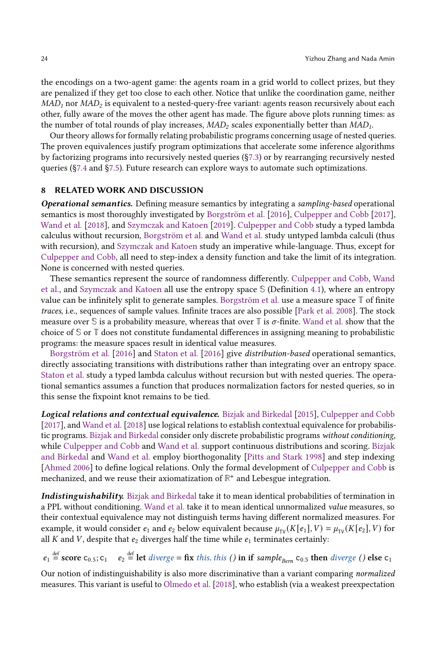the encodings on a two-agent game: the agents roam in a grid world to collect prizes, but they are penalized if they get too close to each other. Notice that unlike the coordination game, neither  $MAD<sub>1</sub>$  nor  $MAD<sub>2</sub>$  is equivalent to a nested-query-free variant: agents reason recursively about each other, fully aware of the moves the other agent has made. The figure above plots running times: as the number of total rounds of play increases,  $MAD<sub>2</sub>$  scales exponentially better than  $MAD<sub>1</sub>$ .

Our theory allows for formally relating probabilistic programs concerning usage of nested queries. The proven equivalences justify program optimizations that accelerate some inference algorithms by factorizing programs into recursively nested queries ([§7.3\)](#page-20-0) or by rearranging recursively nested queries ([§7.4](#page-21-0) and [§7.5\)](#page-22-1). Future research can explore ways to automate such optimizations.

# <span id="page-23-0"></span>8 RELATED WORK AND DISCUSSION

**Operational semantics.** Defining measure semantics by integrating a sampling-based operational semantics is most thoroughly investigated by [Borgström et al.](#page-27-2) [\[2016\]](#page-27-2), [Culpepper and Cobb](#page-27-1) [\[2017\]](#page-27-1), [Wand et al.](#page-28-3) [\[2018\]](#page-28-3), and [Szymczak and Katoen](#page-28-4) [\[2019\]](#page-28-4). [Culpepper and Cobb](#page-27-1) study a typed lambda calculus without recursion, [Borgström et al.](#page-27-2) and [Wand et al.](#page-28-3) study untyped lambda calculi (thus with recursion), and [Szymczak and Katoen](#page-28-4) study an imperative while-language. Thus, except for [Culpepper and Cobb,](#page-27-1) all need to step-index a density function and take the limit of its integration. None is concerned with nested queries.

These semantics represent the source of randomness differently. [Culpepper and Cobb,](#page-27-1) [Wand](#page-28-3) [et al.,](#page-28-3) and [Szymczak and Katoen](#page-28-4) all use the entropy space **S** (Definition [4.1\)](#page-7-0), where an entropy value can be infinitely split to generate samples. [Borgström et al.](#page-27-2) use a measure space **T** of finite traces, i.e., sequences of sample values. Infinite traces are also possible [\[Park et al.](#page-28-15) [2008\]](#page-28-15). The stock measure over  $\mathbb S$  is a probability measure, whereas that over  $\mathbb T$  is  $\sigma$ -finite. [Wand et al.](#page-28-3) show that the choice of **S** or **T** does not constitute fundamental differences in assigning meaning to probabilistic programs: the measure spaces result in identical value measures.

[Borgström et al.](#page-27-2) [\[2016\]](#page-27-2) and [Staton et al.](#page-28-5) [\[2016\]](#page-28-5) give distribution-based operational semantics, directly associating transitions with distributions rather than integrating over an entropy space. [Staton et al.](#page-28-5) study a typed lambda calculus without recursion but with nested queries. The operational semantics assumes a function that produces normalization factors for nested queries, so in this sense the fixpoint knot remains to be tied.

Logical relations and contextual equivalence. [Bizjak and Birkedal](#page-27-15) [\[2015\]](#page-27-15), [Culpepper and Cobb](#page-27-1) [\[2017\]](#page-27-1), and [Wand et al.](#page-28-3) [\[2018\]](#page-28-3) use logical relations to establish contextual equivalence for probabilistic programs. [Bizjak and Birkedal](#page-27-15) consider only discrete probabilistic programs without conditioning, while [Culpepper and Cobb](#page-27-1) and [Wand et al.](#page-28-3) support continuous distributions and scoring. [Bizjak](#page-27-15) [and Birkedal](#page-27-15) and [Wand et al.](#page-28-3) employ biorthogonality [\[Pitts and Stark](#page-28-12) [1998\]](#page-28-12) and step indexing [\[Ahmed](#page-27-10) [2006\]](#page-27-10) to define logical relations. Only the formal development of [Culpepper and Cobb](#page-27-1) is mechanized, and we reuse their axiomatization of **R** + and Lebesgue integration.

Indistinguishability. [Bizjak and Birkedal](#page-27-15) take it to mean identical probabilities of termination in a PPL without conditioning. [Wand et al.](#page-28-3) take it to mean identical unnormalized value measures, so their contextual equivalence may not distinguish terms having different normalized measures. For example, it would consider  $e_1$  and  $e_2$  below equivalent because  $\mu_{TV}(K[e_1], V) = \mu_{TV}(K[e_2], V)$  for all  $K$  and  $V$ , despite that  $e_2$  diverges half the time while  $e_1$  terminates certainly:

 $e_1 \stackrel{\text{def}}{=}$  score  $c_{0.5}$ ;  $c_1$   $e_2 \stackrel{\text{def}}{=}$  let *diverge* = fix *this. this* () in if *sample*<sub>Bern</sub>  $c_{0.5}$  then *diverge* () else  $c_1$ 

Our notion of indistinguishability is also more discriminative than a variant comparing normalized measures. This variant is useful to [Olmedo et al.](#page-28-11) [\[2018\]](#page-28-11), who establish (via a weakest preexpectation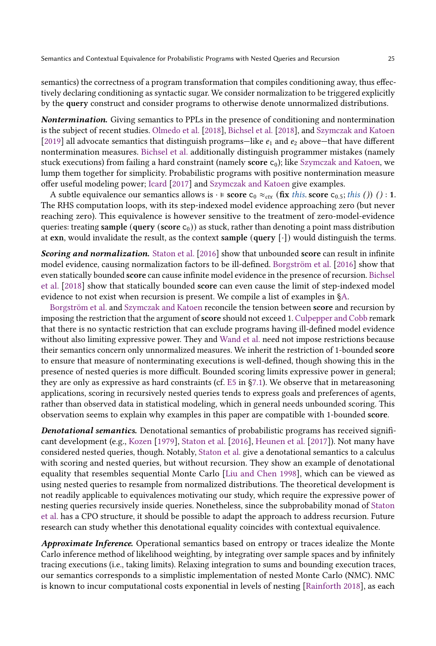semantics) the correctness of a program transformation that compiles conditioning away, thus effectively declaring conditioning as syntactic sugar. We consider normalization to be triggered explicitly by the query construct and consider programs to otherwise denote unnormalized distributions.

Nontermination. Giving semantics to PPLs in the presence of conditioning and nontermination is the subject of recent studies. [Olmedo et al.](#page-28-11) [\[2018\]](#page-28-11), [Bichsel et al.](#page-27-8) [\[2018\]](#page-27-8), and [Szymczak and Katoen](#page-28-4) [\[2019\]](#page-28-4) all advocate semantics that distinguish programs—like  $e_1$  and  $e_2$  above—that have different nontermination measures. [Bichsel et al.](#page-27-8) additionally distinguish programmer mistakes (namely stuck executions) from failing a hard constraint (namely score  $c_0$ ); like [Szymczak and Katoen,](#page-28-4) we lump them together for simplicity. Probabilistic programs with positive nontermination measure offer useful modeling power; [Icard](#page-27-3) [\[2017\]](#page-27-3) and [Szymczak and Katoen](#page-28-4) give examples.

A subtle equivalence our semantics allows is  $\cdot \varepsilon$  score  $c_0 \approx_{\text{ctx}} (\mathbf{fix} \text{ this. score } c_{0.5}$ ; this ()) () : 1. The RHS computation loops, with its step-indexed model evidence approaching zero (but never reaching zero). This equivalence is however sensitive to the treatment of zero-model-evidence queries: treating sample (query (score  $c_0$ )) as stuck, rather than denoting a point mass distribution at exn, would invalidate the result, as the context sample (query  $[\cdot]$ ) would distinguish the terms.

**Scoring and normalization.** [Staton et al.](#page-28-5) [\[2016\]](#page-28-5) show that unbounded score can result in infinite model evidence, causing normalization factors to be ill-defined. [Borgström et al.](#page-27-2) [\[2016\]](#page-27-2) show that even statically bounded score can cause infinite model evidence in the presence of recursion. [Bichsel](#page-27-8) [et al.](#page-27-8) [\[2018\]](#page-27-8) show that statically bounded score can even cause the limit of step-indexed model evidence to not exist when recursion is present. We compile a list of examples in [§A.](#page-26-1)

[Borgström et al.](#page-27-2) and [Szymczak and Katoen](#page-28-4) reconcile the tension between score and recursion by imposing the restriction that the argument of **score** should not exceed 1. [Culpepper and Cobb](#page-27-1) remark that there is no syntactic restriction that can exclude programs having ill-defined model evidence without also limiting expressive power. They and [Wand et al.](#page-28-3) need not impose restrictions because their semantics concern only unnormalized measures. We inherit the restriction of 1-bounded score to ensure that measure of nonterminating executions is well-defined, though showing this in the presence of nested queries is more difficult. Bounded scoring limits expressive power in general; they are only as expressive as hard constraints (cf. [E5](#page-18-5) in [§7.1\)](#page-18-10). We observe that in metareasoning applications, scoring in recursively nested queries tends to express goals and preferences of agents, rather than observed data in statistical modeling, which in general needs unbounded scoring. This observation seems to explain why examples in this paper are compatible with 1-bounded score.

Denotational semantics. Denotational semantics of probabilistic programs has received significant development (e.g., [Kozen](#page-27-16) [\[1979\]](#page-27-16), [Staton et al.](#page-28-5) [\[2016\]](#page-28-5), [Heunen et al.](#page-27-17) [\[2017\]](#page-27-17)). Not many have considered nested queries, though. Notably, [Staton et al.](#page-28-5) give a denotational semantics to a calculus with scoring and nested queries, but without recursion. They show an example of denotational equality that resembles sequential Monte Carlo [\[Liu and Chen](#page-27-18) [1998\]](#page-27-18), which can be viewed as using nested queries to resample from normalized distributions. The theoretical development is not readily applicable to equivalences motivating our study, which require the expressive power of nesting queries recursively inside queries. Nonetheless, since the subprobability monad of [Staton](#page-28-5) [et al.](#page-28-5) has a CPO structure, it should be possible to adapt the approach to address recursion. Future research can study whether this denotational equality coincides with contextual equivalence.

Approximate Inference. Operational semantics based on entropy or traces idealize the Monte Carlo inference method of likelihood weighting, by integrating over sample spaces and by infinitely tracing executions (i.e., taking limits). Relaxing integration to sums and bounding execution traces, our semantics corresponds to a simplistic implementation of nested Monte Carlo (NMC). NMC is known to incur computational costs exponential in levels of nesting [\[Rainforth](#page-28-16) [2018\]](#page-28-16), as each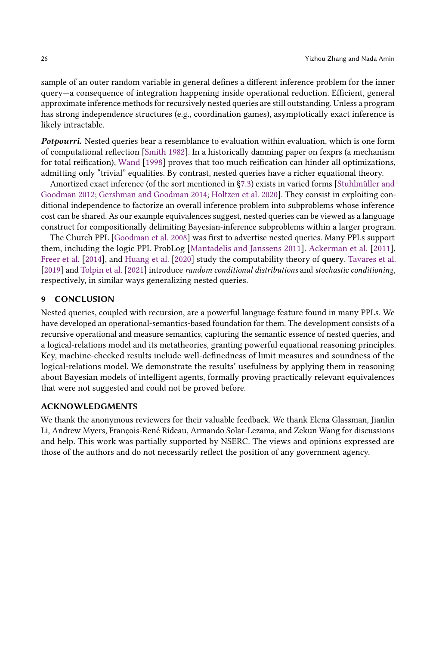sample of an outer random variable in general defines a different inference problem for the inner query—a consequence of integration happening inside operational reduction. Efficient, general approximate inference methods for recursively nested queries are still outstanding. Unless a program has strong independence structures (e.g., coordination games), asymptotically exact inference is likely intractable.

Potpourri. Nested queries bear a resemblance to evaluation within evaluation, which is one form of computational reflection [\[Smith](#page-28-17) [1982\]](#page-28-17). In a historically damning paper on fexprs (a mechanism for total reification), [Wand](#page-28-18) [\[1998\]](#page-28-18) proves that too much reification can hinder all optimizations, admitting only "trivial" equalities. By contrast, nested queries have a richer equational theory.

Amortized exact inference (of the sort mentioned in [§7.3\)](#page-20-0) exists in varied forms [\[Stuhlmüller and](#page-28-19) [Goodman](#page-28-19) [2012;](#page-28-19) [Gershman and Goodman](#page-27-19) [2014;](#page-27-19) [Holtzen et al.](#page-27-20) [2020\]](#page-27-20). They consist in exploiting conditional independence to factorize an overall inference problem into subproblems whose inference cost can be shared. As our example equivalences suggest, nested queries can be viewed as a language construct for compositionally delimiting Bayesian-inference subproblems within a larger program.

The Church PPL [\[Goodman et al.](#page-27-4) [2008\]](#page-27-4) was first to advertise nested queries. Many PPLs support them, including the logic PPL ProbLog [\[Mantadelis and Janssens](#page-27-21) [2011\]](#page-27-21). [Ackerman et al.](#page-27-22) [\[2011\]](#page-27-22), [Freer et al.](#page-27-23) [\[2014\]](#page-27-23), and [Huang et al.](#page-27-24) [\[2020\]](#page-27-24) study the computability theory of query. [Tavares et al.](#page-28-20) [\[2019\]](#page-28-20) and [Tolpin et al.](#page-28-21) [\[2021\]](#page-28-21) introduce random conditional distributions and stochastic conditioning, respectively, in similar ways generalizing nested queries.

### 9 CONCLUSION

Nested queries, coupled with recursion, are a powerful language feature found in many PPLs. We have developed an operational-semantics-based foundation for them. The development consists of a recursive operational and measure semantics, capturing the semantic essence of nested queries, and a logical-relations model and its metatheories, granting powerful equational reasoning principles. Key, machine-checked results include well-definedness of limit measures and soundness of the logical-relations model. We demonstrate the results' usefulness by applying them in reasoning about Bayesian models of intelligent agents, formally proving practically relevant equivalences that were not suggested and could not be proved before.

# ACKNOWLEDGMENTS

We thank the anonymous reviewers for their valuable feedback. We thank Elena Glassman, Jianlin Li, Andrew Myers, François-René Rideau, Armando Solar-Lezama, and Zekun Wang for discussions and help. This work was partially supported by NSERC. The views and opinions expressed are those of the authors and do not necessarily reflect the position of any government agency.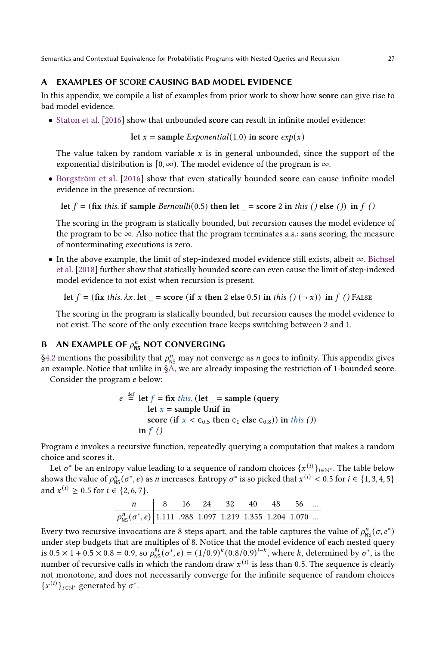# <span id="page-26-1"></span>A EXAMPLES OF SCORE CAUSING BAD MODEL EVIDENCE

In this appendix, we compile a list of examples from prior work to show how score can give rise to bad model evidence.

• [Staton et al.](#page-28-5) [\[2016\]](#page-28-5) show that unbounded score can result in infinite model evidence:

let  $x =$  sample *Exponential*(1.0) in score  $exp(x)$ 

The value taken by random variable  $x$  is in general unbounded, since the support of the exponential distribution is  $[0, \infty)$ . The model evidence of the program is  $\infty$ .

• [Borgström et al.](#page-27-2) [\[2016\]](#page-27-2) show that even statically bounded score can cause infinite model evidence in the presence of recursion:

let 
$$
f = (\text{fix this. if sample } Bernoulli(0.5) \text{ then let } \_ = \text{score 2 in this } () \text{ else } () \text{ in } f ()
$$

The scoring in the program is statically bounded, but recursion causes the model evidence of the program to be  $\infty$ . Also notice that the program terminates a.s.: sans scoring, the measure of nonterminating executions is zero.

• In the above example, the limit of step-indexed model evidence still exists, albeit ∞. [Bichsel](#page-27-8) [et al.](#page-27-8) [\[2018\]](#page-27-8) further show that statically bounded score can even cause the limit of step-indexed model evidence to not exist when recursion is present.

let  $f = (\text{fix this. }\lambda x. \text{ let } = \text{score}(\text{if } x \text{ then } 2 \text{ else } 0.5) \text{ in this } ( ) \text{ } (\neg x) ) \text{ in } f \text{ } () \text{ False}$ 

The scoring in the program is statically bounded, but recursion causes the model evidence to not exist. The score of the only execution trace keeps switching between 2 and 1.

# <span id="page-26-0"></span>**B** AN EXAMPLE OF  $\rho_{\text{NS}}^n$  NOT CONVERGING

[§4.2](#page-9-0) mentions the possibility that  $\rho_{\text{NS}}^n$  may not converge as *n* goes to infinity. This appendix gives an example. Notice that unlike in [§A,](#page-26-1) we are already imposing the restriction of 1-bounded score.

Consider the program *e* below:

$$
e \stackrel{\text{def}}{=} \text{let } f = \text{fix } this. \text{ (let } \_ = \text{sample } (\text{query } \text{ let } x = \text{sample } \text{Unif in } \text{score } (\text{if } x < c_{0.5} \text{ then } c_1 \text{ else } c_{0.8}) ) \text{ in } this () )
$$
\n
$$
\text{in } f \text{ } ()
$$

Program  $e$  invokes a recursive function, repeatedly querying a computation that makes a random choice and scores it.

Let  $\sigma^*$  be an entropy value leading to a sequence of random choices  $\{x^{(i)}\}_{i\in\mathbb{N}^*}.$  The table below shows the value of  $\rho_{NS}^n(\sigma^*, e)$  as *n* increases. Entropy  $\sigma^*$  is so picked that  $x^{(i)} < 0.5$  for  $i \in \{1, 3, 4, 5\}$ and  $x^{(i)} \ge 0.5$  for  $i \in \{2, 6, 7\}$ .

|                                                                        |  | $\begin{array}{ccccccccc} & 8 & 16 & 24 & 32 & 40 & 48 & 56 & \dots \end{array}$ |  |  |
|------------------------------------------------------------------------|--|----------------------------------------------------------------------------------|--|--|
| $\rho_{\rm NS}^n(\sigma^*,e)$ 1.111 .988 1.097 1.219 1.355 1.204 1.070 |  |                                                                                  |  |  |

Every two recursive invocations are 8 steps apart, and the table captures the value of  $\rho^n_{\rm NS}(\sigma,e^*)$ under step budgets that are multiples of 8. Notice that the model evidence of each nested query is  $0.5 \times 1 + 0.5 \times 0.8 = 0.9$ , so  $\rho_{NS}^{8i}(\sigma^*, e) = (1/0.9)^k (0.8/0.9)^{i-k}$ , where k, determined by  $\sigma^*$ , is the number of recursive calls in which the random draw  $x^{(i)}$  is less than 0.5. The sequence is clearly not monotone, and does not necessarily converge for the infinite sequence of random choices  ${x<sup>(i)</sup>}<sub>i∈N</sub>∗$  generated by σ<sup>∗</sup>.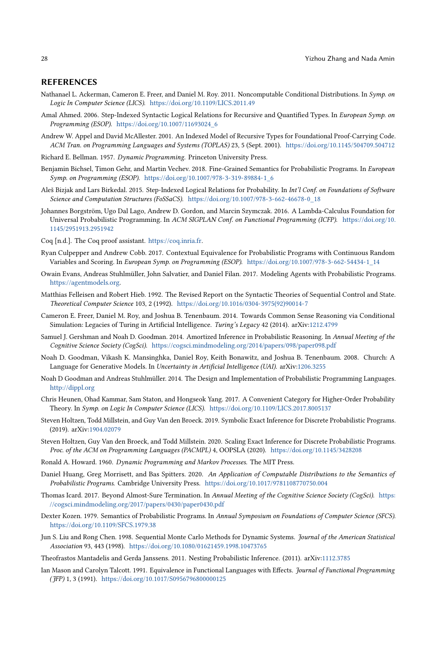#### REFERENCES

- <span id="page-27-22"></span>Nathanael L. Ackerman, Cameron E. Freer, and Daniel M. Roy. 2011. Noncomputable Conditional Distributions. In Symp. on Logic In Computer Science (LICS). <https://doi.org/10.1109/LICS.2011.49>
- <span id="page-27-10"></span>Amal Ahmed. 2006. Step-Indexed Syntactic Logical Relations for Recursive and Quantified Types. In European Symp. on Programming (ESOP). [https://doi.org/10.1007/11693024\\_6](https://doi.org/10.1007/11693024_6)
- <span id="page-27-9"></span>Andrew W. Appel and David McAllester. 2001. An Indexed Model of Recursive Types for Foundational Proof-Carrying Code. ACM Tran. on Programming Languages and Systems (TOPLAS) 23, 5 (Sept. 2001). <https://doi.org/10.1145/504709.504712>
- <span id="page-27-14"></span>Richard E. Bellman. 1957. Dynamic Programming. Princeton University Press.
- <span id="page-27-8"></span>Benjamin Bichsel, Timon Gehr, and Martin Vechev. 2018. Fine-Grained Semantics for Probabilistic Programs. In European Symp. on Programming (ESOP). [https://doi.org/10.1007/978-3-319-89884-1\\_6](https://doi.org/10.1007/978-3-319-89884-1_6)
- <span id="page-27-15"></span>Aleš Bizjak and Lars Birkedal. 2015. Step-Indexed Logical Relations for Probability. In Int'l Conf. on Foundations of Software Science and Computation Structures (FoSSaCS). [https://doi.org/10.1007/978-3-662-46678-0\\_18](https://doi.org/10.1007/978-3-662-46678-0_18)
- <span id="page-27-2"></span>Johannes Borgström, Ugo Dal Lago, Andrew D. Gordon, and Marcin Szymczak. 2016. A Lambda-Calculus Foundation for Universal Probabilistic Programming. In ACM SIGPLAN Conf. on Functional Programming (ICFP). [https://doi.org/10.](https://doi.org/10.1145/2951913.2951942) [1145/2951913.2951942](https://doi.org/10.1145/2951913.2951942)
- <span id="page-27-6"></span>Coq [n.d.]. The Coq proof assistant. [https://coq.inria.fr.](https://coq.inria.fr)
- <span id="page-27-1"></span>Ryan Culpepper and Andrew Cobb. 2017. Contextual Equivalence for Probabilistic Programs with Continuous Random Variables and Scoring. In European Symp. on Programming (ESOP). [https://doi.org/10.1007/978-3-662-54434-1\\_14](https://doi.org/10.1007/978-3-662-54434-1_14)
- <span id="page-27-0"></span>Owain Evans, Andreas Stuhlmüller, John Salvatier, and Daniel Filan. 2017. Modeling Agents with Probabilistic Programs. [https://agentmodels.org.](https://agentmodels.org)
- <span id="page-27-7"></span>Matthias Felleisen and Robert Hieb. 1992. The Revised Report on the Syntactic Theories of Sequential Control and State. Theoretical Computer Science 103, 2 (1992). [https://doi.org/10.1016/0304-3975\(92\)90014-7](https://doi.org/10.1016/0304-3975(92)90014-7)
- <span id="page-27-23"></span>Cameron E. Freer, Daniel M. Roy, and Joshua B. Tenenbaum. 2014. Towards Common Sense Reasoning via Conditional Simulation: Legacies of Turing in Artificial Intelligence. Turing's Legacy 42 (2014). arXiv[:1212.4799](https://arxiv.org/abs/1212.4799)
- <span id="page-27-19"></span>Samuel J. Gershman and Noah D. Goodman. 2014. Amortized Inference in Probabilistic Reasoning. In Annual Meeting of the Cognitive Science Society (CogSci). <https://cogsci.mindmodeling.org/2014/papers/098/paper098.pdf>
- <span id="page-27-4"></span>Noah D. Goodman, Vikash K. Mansinghka, Daniel Roy, Keith Bonawitz, and Joshua B. Tenenbaum. 2008. Church: A Language for Generative Models. In Uncertainty in Artificial Intelligence (UAI). arXiv[:1206.3255](https://arxiv.org/abs/1206.3255)
- <span id="page-27-5"></span>Noah D Goodman and Andreas Stuhlmüller. 2014. The Design and Implementation of Probabilistic Programming Languages. <http://dippl.org>
- <span id="page-27-17"></span>Chris Heunen, Ohad Kammar, Sam Staton, and Hongseok Yang. 2017. A Convenient Category for Higher-Order Probability Theory. In Symp. on Logic In Computer Science (LICS). <https://doi.org/10.1109/LICS.2017.8005137>
- <span id="page-27-12"></span>Steven Holtzen, Todd Millstein, and Guy Van den Broeck. 2019. Symbolic Exact Inference for Discrete Probabilistic Programs. (2019). arXiv[:1904.02079](https://arxiv.org/abs/1904.02079)
- <span id="page-27-20"></span>Steven Holtzen, Guy Van den Broeck, and Todd Millstein. 2020. Scaling Exact Inference for Discrete Probabilistic Programs. Proc. of the ACM on Programming Languages (PACMPL) 4, OOPSLA (2020). <https://doi.org/10.1145/3428208>
- <span id="page-27-13"></span>Ronald A. Howard. 1960. Dynamic Programming and Markov Processes. The MIT Press.
- <span id="page-27-24"></span>Daniel Huang, Greg Morrisett, and Bas Spitters. 2020. An Application of Computable Distributions to the Semantics of Probabilistic Programs. Cambridge University Press. <https://doi.org/10.1017/9781108770750.004>
- <span id="page-27-3"></span>Thomas Icard. 2017. Beyond Almost-Sure Termination. In Annual Meeting of the Cognitive Science Society (CogSci). [https:](https://cogsci.mindmodeling.org/2017/papers/0430/paper0430.pdf) [//cogsci.mindmodeling.org/2017/papers/0430/paper0430.pdf](https://cogsci.mindmodeling.org/2017/papers/0430/paper0430.pdf)
- <span id="page-27-16"></span>Dexter Kozen. 1979. Semantics of Probabilistic Programs. In Annual Symposium on Foundations of Computer Science (SFCS). <https://doi.org/10.1109/SFCS.1979.38>
- <span id="page-27-18"></span>Jun S. Liu and Rong Chen. 1998. Sequential Monte Carlo Methods for Dynamic Systems. Journal of the American Statistical Association 93, 443 (1998). <https://doi.org/10.1080/01621459.1998.10473765>
- <span id="page-27-21"></span>Theofrastos Mantadelis and Gerda Janssens. 2011. Nesting Probabilistic Inference. (2011). arXiv[:1112.3785](https://arxiv.org/abs/1112.3785)
- <span id="page-27-11"></span>Ian Mason and Carolyn Talcott. 1991. Equivalence in Functional Languages with Effects. Journal of Functional Programming (JFP) 1, 3 (1991). <https://doi.org/10.1017/S0956796800000125>